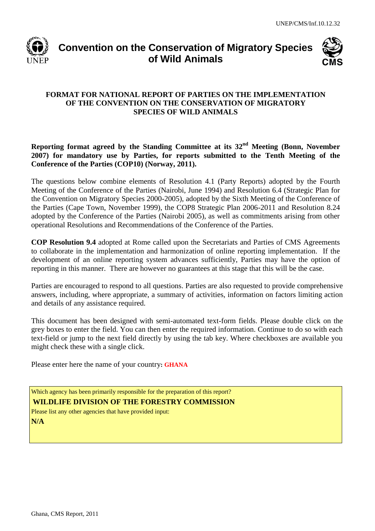

# **Convention on the Conservation of Migratory Species of Wild Animals**



#### **FORMAT FOR NATIONAL REPORT OF PARTIES ON THE IMPLEMENTATION OF THE CONVENTION ON THE CONSERVATION OF MIGRATORY SPECIES OF WILD ANIMALS**

**Reporting format agreed by the Standing Committee at its 32nd Meeting (Bonn, November 2007) for mandatory use by Parties, for reports submitted to the Tenth Meeting of the Conference of the Parties (COP10) (Norway, 2011).**

The questions below combine elements of Resolution 4.1 (Party Reports) adopted by the Fourth Meeting of the Conference of the Parties (Nairobi, June 1994) and Resolution 6.4 (Strategic Plan for the Convention on Migratory Species 2000-2005), adopted by the Sixth Meeting of the Conference of the Parties (Cape Town, November 1999), the COP8 Strategic Plan 2006-2011 and Resolution 8.24 adopted by the Conference of the Parties (Nairobi 2005), as well as commitments arising from other operational Resolutions and Recommendations of the Conference of the Parties.

**COP Resolution 9.4** adopted at Rome called upon the Secretariats and Parties of CMS Agreements to collaborate in the implementation and harmonization of online reporting implementation. If the development of an online reporting system advances sufficiently, Parties may have the option of reporting in this manner. There are however no guarantees at this stage that this will be the case.

Parties are encouraged to respond to all questions. Parties are also requested to provide comprehensive answers, including, where appropriate, a summary of activities, information on factors limiting action and details of any assistance required.

This document has been designed with semi-automated text-form fields. Please double click on the grey boxes to enter the field. You can then enter the required information. Continue to do so with each text-field or jump to the next field directly by using the tab key. Where checkboxes are available you might check these with a single click.

Please enter here the name of your country**: GHANA**

Which agency has been primarily responsible for the preparation of this report? **WILDLIFE DIVISION OF THE FORESTRY COMMISSION**

Please list any other agencies that have provided input: **N/A**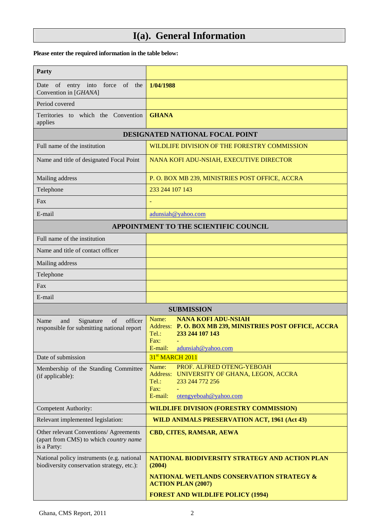# **I(a). General Information**

#### **Please enter the required information in the table below:**

| Party                                                                                           |                                                                                                                                                                        |
|-------------------------------------------------------------------------------------------------|------------------------------------------------------------------------------------------------------------------------------------------------------------------------|
| of entry into<br>force<br>of the<br>Date<br>Convention in [GHANA]                               | 1/04/1988                                                                                                                                                              |
| Period covered                                                                                  |                                                                                                                                                                        |
| Territories to which the Convention<br>applies                                                  | <b>GHANA</b>                                                                                                                                                           |
|                                                                                                 | DESIGNATED NATIONAL FOCAL POINT                                                                                                                                        |
| Full name of the institution                                                                    | WILDLIFE DIVISION OF THE FORESTRY COMMISSION                                                                                                                           |
| Name and title of designated Focal Point                                                        | NANA KOFI ADU-NSIAH, EXECUTIVE DIRECTOR                                                                                                                                |
| Mailing address                                                                                 | P. O. BOX MB 239, MINISTRIES POST OFFICE, ACCRA                                                                                                                        |
| Telephone                                                                                       | 233 244 107 143                                                                                                                                                        |
| Fax                                                                                             |                                                                                                                                                                        |
| E-mail                                                                                          | adunsiah@yahoo.com                                                                                                                                                     |
|                                                                                                 | APPOINTMENT TO THE SCIENTIFIC COUNCIL                                                                                                                                  |
| Full name of the institution                                                                    |                                                                                                                                                                        |
| Name and title of contact officer                                                               |                                                                                                                                                                        |
| Mailing address                                                                                 |                                                                                                                                                                        |
| Telephone                                                                                       |                                                                                                                                                                        |
| Fax                                                                                             |                                                                                                                                                                        |
| E-mail                                                                                          |                                                                                                                                                                        |
|                                                                                                 |                                                                                                                                                                        |
|                                                                                                 | <b>SUBMISSION</b>                                                                                                                                                      |
| Name<br>Signature<br>of<br>officer<br>and<br>responsible for submitting national report         | <b>NANA KOFI ADU-NSIAH</b><br>Name:<br>Address: P.O. BOX MB 239, MINISTRIES POST OFFICE, ACCRA<br>233 244 107 143<br>$Tel.$ :<br>Fax:<br>adunsiah@vahoo.com<br>E-mail: |
| Date of submission                                                                              | 31 <sup>st</sup> MARCH 2011                                                                                                                                            |
| Membership of the Standing Committee<br>(if applicable):                                        | PROF. ALFRED OTENG-YEBOAH<br>Name:<br>Address: UNIVERSITY OF GHANA, LEGON, ACCRA<br>Tel.:<br>233 244 772 256<br>Fax:<br>E-mail:<br>otengyeboah@yahoo.com               |
| Competent Authority:                                                                            | <b>WILDLIFE DIVISION (FORESTRY COMMISSION)</b>                                                                                                                         |
| Relevant implemented legislation:                                                               | WILD ANIMALS PRESERVATION ACT, 1961 (Act 43)                                                                                                                           |
| Other relevant Conventions/ Agreements<br>(apart from CMS) to which country name<br>is a Party: | CBD, CITES, RAMSAR, AEWA                                                                                                                                               |
| National policy instruments (e.g. national<br>biodiversity conservation strategy, etc.):        | NATIONAL BIODIVERSITY STRATEGY AND ACTION PLAN<br>(2004)                                                                                                               |
|                                                                                                 | NATIONAL WETLANDS CONSERVATION STRATEGY &<br><b>ACTION PLAN (2007)</b><br><b>FOREST AND WILDLIFE POLICY (1994)</b>                                                     |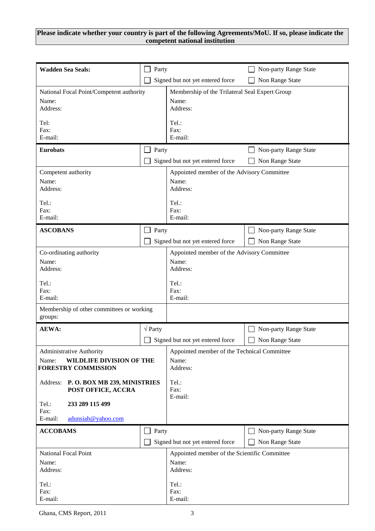#### **Please indicate whether your country is part of the following Agreements/MoU. If so, please indicate the competent national institution**

| <b>Wadden Sea Seals:</b>                             | Party                 |                                                | Non-party Range State |
|------------------------------------------------------|-----------------------|------------------------------------------------|-----------------------|
|                                                      |                       | Signed but not yet entered force               | Non Range State       |
| National Focal Point/Competent authority             |                       | Membership of the Trilateral Seal Expert Group |                       |
| Name:<br>Address:                                    |                       | Name:<br>Address:                              |                       |
| Tel:                                                 |                       | Tel.:                                          |                       |
| Fax:<br>E-mail:                                      |                       | Fax:<br>E-mail:                                |                       |
| <b>Eurobats</b>                                      | Party                 |                                                | Non-party Range State |
|                                                      |                       | Signed but not yet entered force               | Non Range State       |
| Competent authority                                  |                       | Appointed member of the Advisory Committee     |                       |
| Name:<br>Address:                                    |                       | Name:<br>Address:                              |                       |
| Tel.:                                                |                       | Tel.:                                          |                       |
| Fax:<br>E-mail:                                      |                       | Fax:<br>E-mail:                                |                       |
| <b>ASCOBANS</b>                                      | Party                 |                                                | Non-party Range State |
|                                                      |                       | Signed but not yet entered force               | Non Range State       |
| Co-ordinating authority                              |                       | Appointed member of the Advisory Committee     |                       |
| Name:                                                |                       | Name:                                          |                       |
| Address:                                             |                       | Address:                                       |                       |
| Tel.:                                                |                       | Tel.:                                          |                       |
| Fax:<br>E-mail:                                      |                       | Fax:<br>E-mail:                                |                       |
| Membership of other committees or working<br>groups: |                       |                                                |                       |
| <b>AEWA:</b>                                         | $\sqrt{\text{Party}}$ |                                                | Non-party Range State |
|                                                      |                       | Signed but not yet entered force               | Non Range State       |
| <b>Administrative Authority</b>                      |                       | Appointed member of the Technical Committee    |                       |
| WILDLIFE DIVISION OF THE<br>Name:                    |                       | Name:                                          |                       |
| <b>FORESTRY COMMISSION</b>                           |                       | Address:                                       |                       |
| Address: P.O. BOX MB 239, MINISTRIES                 |                       | Tel.:                                          |                       |
| POST OFFICE, ACCRA                                   |                       | Fax:<br>E-mail:                                |                       |
| Tel.:<br>233 289 115 499<br>Fax:                     |                       |                                                |                       |
| E-mail:<br>adunsiah@yahoo.com                        |                       |                                                |                       |
| <b>ACCOBAMS</b>                                      | Party                 |                                                | Non-party Range State |
|                                                      |                       | Signed but not yet entered force               | Non Range State       |
| <b>National Focal Point</b>                          |                       | Appointed member of the Scientific Committee   |                       |
| Name:<br>Address:                                    |                       | Name:<br>Address:                              |                       |
|                                                      |                       |                                                |                       |
| Tel.:<br>Fax:                                        |                       | Tel.:<br>Fax:                                  |                       |
| E-mail:                                              |                       | E-mail:                                        |                       |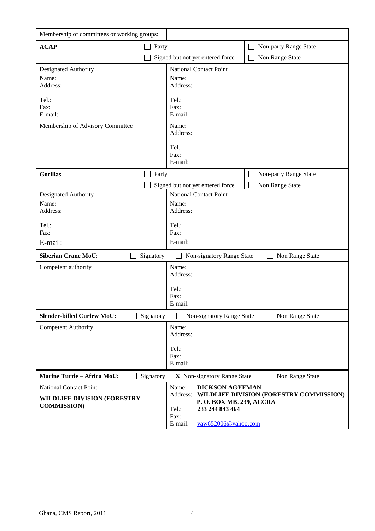| Membership of committees or working groups:                                               |                       |                            |                                                                       |                                         |
|-------------------------------------------------------------------------------------------|-----------------------|----------------------------|-----------------------------------------------------------------------|-----------------------------------------|
| <b>ACAP</b>                                                                               | Party<br>$\Box$       |                            |                                                                       | Non-party Range State                   |
|                                                                                           |                       |                            | Signed but not yet entered force                                      | Non Range State                         |
| Designated Authority                                                                      |                       |                            | <b>National Contact Point</b>                                         |                                         |
| Name:<br>Address:                                                                         |                       | Name:<br>Address:          |                                                                       |                                         |
| Tel.:<br>Fax:<br>E-mail:                                                                  |                       | Tel.:<br>Fax:<br>E-mail:   |                                                                       |                                         |
| Membership of Advisory Committee                                                          |                       | Name:<br>Address:          |                                                                       |                                         |
|                                                                                           |                       | Tel.:<br>Fax:<br>E-mail:   |                                                                       |                                         |
| <b>Gorillas</b>                                                                           | Party<br>$\mathsf{L}$ |                            |                                                                       | Non-party Range State                   |
|                                                                                           |                       |                            | Signed but not yet entered force                                      | Non Range State                         |
| Designated Authority<br>Name:                                                             |                       | Name:                      | <b>National Contact Point</b>                                         |                                         |
| Address:                                                                                  |                       | Address:                   |                                                                       |                                         |
| Tel.:<br>Fax:                                                                             |                       | Tel.:<br>Fax:              |                                                                       |                                         |
| E-mail:                                                                                   |                       | E-mail:                    |                                                                       |                                         |
| <b>Siberian Crane MoU:</b>                                                                | Signatory             |                            | Non-signatory Range State                                             | Non Range State                         |
| Competent authority                                                                       |                       | Name:<br>Address:          |                                                                       |                                         |
|                                                                                           |                       | Tel.:<br>Fax:<br>E-mail:   |                                                                       |                                         |
| <b>Slender-billed Curlew MoU:</b>                                                         | Signatory             |                            | Non-signatory Range State                                             | Non Range State                         |
| <b>Competent Authority</b>                                                                |                       | Name:<br>Address:          |                                                                       |                                         |
|                                                                                           |                       | Tel.:<br>Fax:<br>E-mail:   |                                                                       |                                         |
| <b>Marine Turtle - Africa MoU:</b>                                                        | Signatory             |                            | X Non-signatory Range State                                           | Non Range State                         |
| <b>National Contact Point</b><br><b>WILDLIFE DIVISION (FORESTRY</b><br><b>COMMISSION)</b> |                       | Name:<br>Address:<br>Tel.: | <b>DICKSON AGYEMAN</b><br>P. O. BOX MB. 239, ACCRA<br>233 244 843 464 | WILDLIFE DIVISION (FORESTRY COMMISSION) |
|                                                                                           |                       | Fax:<br>E-mail:            | yaw652006@yahoo.com                                                   |                                         |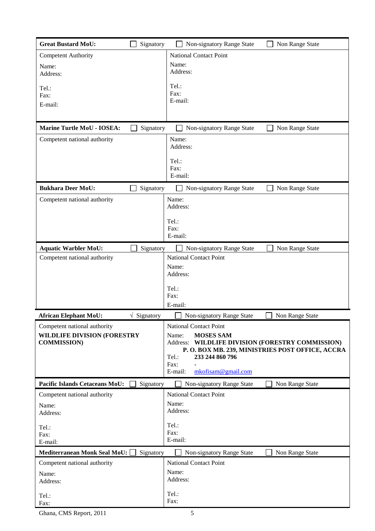| <b>Great Bustard MoU:</b>                                                                | Signatory                      | Non-signatory Range State                                                                                                                   | Non Range State                                                                             |
|------------------------------------------------------------------------------------------|--------------------------------|---------------------------------------------------------------------------------------------------------------------------------------------|---------------------------------------------------------------------------------------------|
| <b>Competent Authority</b>                                                               |                                | <b>National Contact Point</b>                                                                                                               |                                                                                             |
| Name:<br>Address:                                                                        |                                | Name:<br>Address:                                                                                                                           |                                                                                             |
| Tel.:<br>Fax:                                                                            |                                | Tel.:<br>Fax:<br>E-mail:                                                                                                                    |                                                                                             |
| E-mail:                                                                                  |                                |                                                                                                                                             |                                                                                             |
| <b>Marine Turtle MoU - IOSEA:</b>                                                        | Signatory                      | Non-signatory Range State                                                                                                                   | Non Range State                                                                             |
| Competent national authority                                                             |                                | Name:<br>Address:                                                                                                                           |                                                                                             |
|                                                                                          |                                | Tel.:<br>Fax:<br>E-mail:                                                                                                                    |                                                                                             |
| <b>Bukhara Deer MoU:</b>                                                                 | Signatory                      | Non-signatory Range State                                                                                                                   | Non Range State                                                                             |
| Competent national authority                                                             |                                | Name:<br>Address:                                                                                                                           |                                                                                             |
|                                                                                          |                                | Tel.:<br>Fax:<br>E-mail:                                                                                                                    |                                                                                             |
| <b>Aquatic Warbler MoU:</b>                                                              | Signatory                      | Non-signatory Range State                                                                                                                   | Non Range State                                                                             |
| Competent national authority                                                             |                                | <b>National Contact Point</b><br>Name:<br>Address:                                                                                          |                                                                                             |
|                                                                                          |                                | Tel.:<br>Fax:<br>E-mail:                                                                                                                    |                                                                                             |
| <b>African Elephant MoU:</b>                                                             | $\sqrt{\phantom{a}}$ Signatory | Non-signatory Range State                                                                                                                   | Non Range State                                                                             |
| Competent national authority<br><b>WILDLIFE DIVISION (FORESTRY</b><br><b>COMMISSION)</b> |                                | <b>National Contact Point</b><br><b>MOSES SAM</b><br>Name:<br>Address:<br>Tel.:<br>233 244 860 796<br>Fax:<br>mkofisam@gmail.com<br>E-mail: | WILDLIFE DIVISION (FORESTRY COMMISSION)<br>P. O. BOX MB. 239, MINISTRIES POST OFFICE, ACCRA |
| <b>Pacific Islands Cetaceans MoU:</b>                                                    | Signatory                      | Non-signatory Range State                                                                                                                   | Non Range State                                                                             |
| Competent national authority<br>Name:<br>Address:                                        |                                | <b>National Contact Point</b><br>Name:<br>Address:<br>Tel.:                                                                                 |                                                                                             |
| Tel.:<br>Fax:<br>E-mail:                                                                 |                                | Fax:<br>E-mail:                                                                                                                             |                                                                                             |
| Mediterranean Monk Seal MoU: [                                                           | Signatory                      | Non-signatory Range State                                                                                                                   | Non Range State                                                                             |
| Competent national authority<br>Name:<br>Address:                                        |                                | <b>National Contact Point</b><br>Name:<br>Address:<br>Tel.:                                                                                 |                                                                                             |
| Tel.:<br>Fax:                                                                            |                                | Fax:                                                                                                                                        |                                                                                             |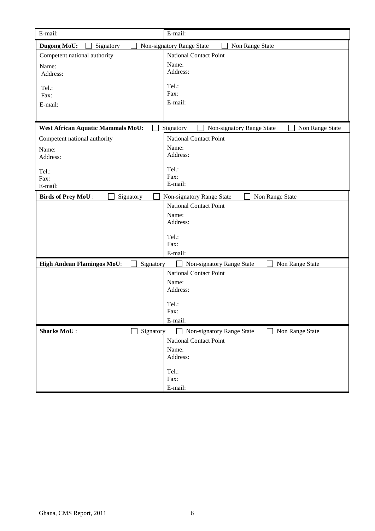| E-mail:                                        | E-mail:                                                   |
|------------------------------------------------|-----------------------------------------------------------|
| Dugong MoU:<br>Signatory                       | Non-signatory Range State<br>Non Range State              |
| Competent national authority                   | <b>National Contact Point</b>                             |
| Name:                                          | Name:                                                     |
| Address:                                       | Address:                                                  |
| Tel.:                                          | Tel.:                                                     |
| Fax:                                           | Fax:                                                      |
| E-mail:                                        | E-mail:                                                   |
|                                                |                                                           |
| <b>West African Aquatic Mammals MoU:</b>       | Signatory<br>Non-signatory Range State<br>Non Range State |
| Competent national authority                   | <b>National Contact Point</b>                             |
| Name:                                          | Name:                                                     |
| Address:                                       | Address:                                                  |
| Tel.:                                          | Tel.:                                                     |
| Fax:                                           | Fax:                                                      |
| E-mail:                                        | E-mail:                                                   |
| <b>Birds of Prey MoU:</b><br>Signatory         | Non Range State<br>Non-signatory Range State              |
|                                                | <b>National Contact Point</b>                             |
|                                                | Name:                                                     |
|                                                | Address:                                                  |
|                                                | Tel.:                                                     |
|                                                | Fax:                                                      |
|                                                | E-mail:                                                   |
| <b>High Andean Flamingos MoU:</b><br>Signatory | Non-signatory Range State<br>Non Range State              |
|                                                | <b>National Contact Point</b>                             |
|                                                | Name:                                                     |
|                                                | Address:                                                  |
|                                                | Tel.:                                                     |
|                                                | Fax:                                                      |
|                                                | E-mail:                                                   |
| <b>Sharks MoU:</b><br>Signatory                | Non-signatory Range State<br>Non Range State              |
|                                                | <b>National Contact Point</b>                             |
|                                                | Name:                                                     |
|                                                | Address:                                                  |
|                                                | Tel.:                                                     |
|                                                | Fax:                                                      |
|                                                | E-mail:                                                   |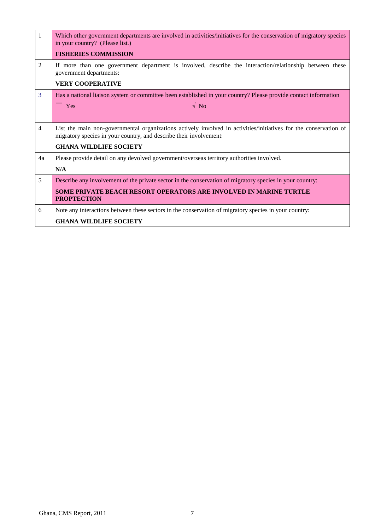| -1             | Which other government departments are involved in activities/initiatives for the conservation of migratory species<br>in your country? (Please list.)                                 |
|----------------|----------------------------------------------------------------------------------------------------------------------------------------------------------------------------------------|
|                | <b>FISHERIES COMMISSION</b>                                                                                                                                                            |
| 2              | If more than one government department is involved, describe the interaction/relationship between these<br>government departments:                                                     |
|                | <b>VERY COOPERATIVE</b>                                                                                                                                                                |
| 3              | Has a national liaison system or committee been established in your country? Please provide contact information                                                                        |
|                | $\sqrt{N_{0}}$<br>Yes                                                                                                                                                                  |
|                |                                                                                                                                                                                        |
| $\overline{4}$ | List the main non-governmental organizations actively involved in activities/initiatives for the conservation of<br>migratory species in your country, and describe their involvement: |
|                | <b>GHANA WILDLIFE SOCIETY</b>                                                                                                                                                          |
| 4a             | Please provide detail on any devolved government/overseas territory authorities involved.                                                                                              |
|                | N/A                                                                                                                                                                                    |
| 5              | Describe any involvement of the private sector in the conservation of migratory species in your country:                                                                               |
|                | <b>SOME PRIVATE BEACH RESORT OPERATORS ARE INVOLVED IN MARINE TURTLE</b><br><b>PROPTECTION</b>                                                                                         |
| 6              | Note any interactions between these sectors in the conservation of migratory species in your country:                                                                                  |
|                | <b>GHANA WILDLIFE SOCIETY</b>                                                                                                                                                          |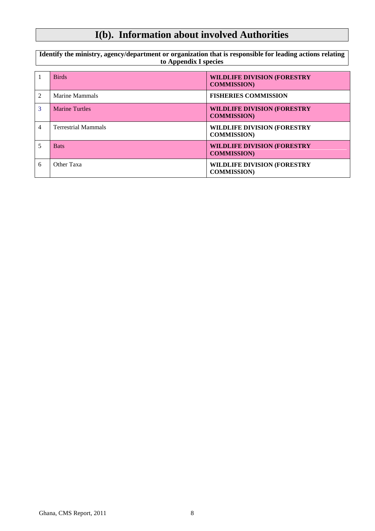# **I(b). Information about involved Authorities**

**Identify the ministry, agency/department or organization that is responsible for leading actions relating to Appendix I species**

|                             | <b>Birds</b>               | <b>WILDLIFE DIVISION (FORESTRY</b><br><b>COMMISSION</b> ) |
|-----------------------------|----------------------------|-----------------------------------------------------------|
| $\mathcal{D}_{\mathcal{L}}$ | Marine Mammals             | <b>FISHERIES COMMISSION</b>                               |
| 3                           | <b>Marine Turtles</b>      | <b>WILDLIFE DIVISION (FORESTRY</b><br><b>COMMISSION</b> ) |
| 4                           | <b>Terrestrial Mammals</b> | <b>WILDLIFE DIVISION (FORESTRY</b><br><b>COMMISSION</b> ) |
|                             | <b>Bats</b>                | <b>WILDLIFE DIVISION (FORESTRY</b><br><b>COMMISSION</b> ) |
| 6                           | Other Taxa                 | <b>WILDLIFE DIVISION (FORESTRY</b><br><b>COMMISSION)</b>  |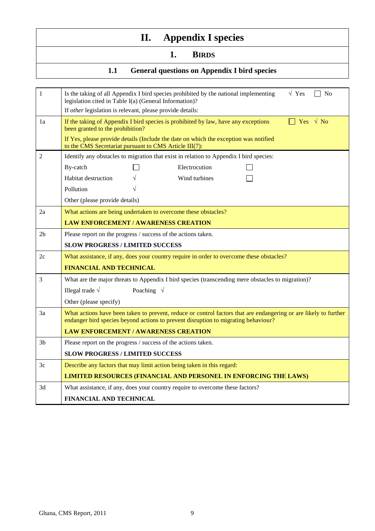# **II. Appendix I species**

### **1. BIRDS**

### **1.1 General questions on Appendix I bird species**

| 1              | $\sqrt{Y}$<br>Is the taking of all Appendix I bird species prohibited by the national implementing<br>No<br>legislation cited in Table I(a) (General Information)?                                     |  |  |  |
|----------------|--------------------------------------------------------------------------------------------------------------------------------------------------------------------------------------------------------|--|--|--|
|                | If other legislation is relevant, please provide details:                                                                                                                                              |  |  |  |
| 1a             | $\Box$ Yes $\sqrt{N_0}$<br>If the taking of Appendix I bird species is prohibited by law, have any exceptions<br>been granted to the prohibition?                                                      |  |  |  |
|                | If Yes, please provide details (Include the date on which the exception was notified<br>to the CMS Secretariat pursuant to CMS Article III(7):                                                         |  |  |  |
| $\overline{2}$ | Identify any obstacles to migration that exist in relation to Appendix I bird species:                                                                                                                 |  |  |  |
|                | By-catch<br>Electrocution                                                                                                                                                                              |  |  |  |
|                | Habitat destruction<br>Wind turbines                                                                                                                                                                   |  |  |  |
|                | Pollution                                                                                                                                                                                              |  |  |  |
|                | Other (please provide details)                                                                                                                                                                         |  |  |  |
| 2a             | What actions are being undertaken to overcome these obstacles?                                                                                                                                         |  |  |  |
|                | <b>LAW ENFORCEMENT / AWARENESS CREATION</b>                                                                                                                                                            |  |  |  |
| 2 <sub>b</sub> | Please report on the progress / success of the actions taken.                                                                                                                                          |  |  |  |
|                | <b>SLOW PROGRESS / LIMITED SUCCESS</b>                                                                                                                                                                 |  |  |  |
| 2c             | What assistance, if any, does your country require in order to overcome these obstacles?                                                                                                               |  |  |  |
|                | <b>FINANCIAL AND TECHNICAL</b>                                                                                                                                                                         |  |  |  |
| 3              | What are the major threats to Appendix I bird species (transcending mere obstacles to migration)?                                                                                                      |  |  |  |
|                | Illegal trade $\sqrt$<br>Poaching $\sqrt{}$                                                                                                                                                            |  |  |  |
|                | Other (please specify)                                                                                                                                                                                 |  |  |  |
| 3a             | What actions have been taken to prevent, reduce or control factors that are endangering or are likely to further<br>endanger bird species beyond actions to prevent disruption to migrating behaviour? |  |  |  |
|                | <b>LAW ENFORCEMENT / AWARENESS CREATION</b>                                                                                                                                                            |  |  |  |
| 3 <sub>b</sub> | Please report on the progress / success of the actions taken.                                                                                                                                          |  |  |  |
|                | <b>SLOW PROGRESS / LIMITED SUCCESS</b>                                                                                                                                                                 |  |  |  |
| 3c             | Describe any factors that may limit action being taken in this regard:                                                                                                                                 |  |  |  |
|                | <b>LIMITED RESOURCES (FINANCIAL AND PERSONEL IN ENFORCING THE LAWS)</b>                                                                                                                                |  |  |  |
| 3d             | What assistance, if any, does your country require to overcome these factors?                                                                                                                          |  |  |  |
|                | FINANCIAL AND TECHNICAL                                                                                                                                                                                |  |  |  |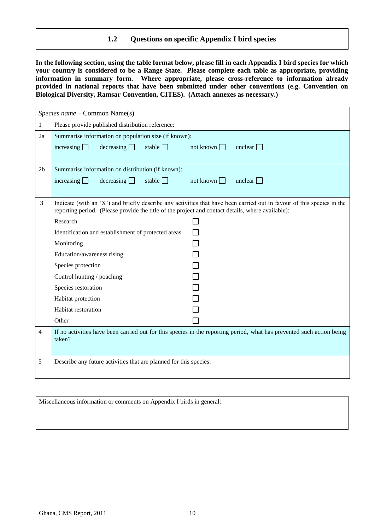#### **1.2 Questions on specific Appendix I bird species**

**In the following section, using the table format below, please fill in each Appendix I bird species for which your country is considered to be a Range State. Please complete each table as appropriate, providing information in summary form. Where appropriate, please cross-reference to information already provided in national reports that have been submitted under other conventions (e.g. Convention on Biological Diversity, Ramsar Convention, CITES). (Attach annexes as necessary.)**

|                | Species name – Common Name(s)                                                                                                                                                                                               |                  |                |  |
|----------------|-----------------------------------------------------------------------------------------------------------------------------------------------------------------------------------------------------------------------------|------------------|----------------|--|
| 1              | Please provide published distribution reference:                                                                                                                                                                            |                  |                |  |
| 2a             | Summarise information on population size (if known):                                                                                                                                                                        |                  |                |  |
|                | increasing $\Box$<br>decreasing<br>stable $\Box$                                                                                                                                                                            | not known $\Box$ | unclear $\Box$ |  |
|                |                                                                                                                                                                                                                             |                  |                |  |
| 2 <sub>b</sub> | Summarise information on distribution (if known):                                                                                                                                                                           |                  |                |  |
|                | decreasing<br>stable $\Box$<br>increasing $\Box$                                                                                                                                                                            | not known $\Box$ | unclear $\Box$ |  |
|                |                                                                                                                                                                                                                             |                  |                |  |
| 3              | Indicate (with an 'X') and briefly describe any activities that have been carried out in favour of this species in the<br>reporting period. (Please provide the title of the project and contact details, where available): |                  |                |  |
|                | Research                                                                                                                                                                                                                    |                  |                |  |
|                | Identification and establishment of protected areas                                                                                                                                                                         |                  |                |  |
|                | Monitoring                                                                                                                                                                                                                  |                  |                |  |
|                | Education/awareness rising                                                                                                                                                                                                  |                  |                |  |
|                | Species protection                                                                                                                                                                                                          |                  |                |  |
|                | Control hunting / poaching                                                                                                                                                                                                  |                  |                |  |
|                | Species restoration                                                                                                                                                                                                         |                  |                |  |
|                | Habitat protection                                                                                                                                                                                                          |                  |                |  |
|                | Habitat restoration                                                                                                                                                                                                         |                  |                |  |
|                | Other                                                                                                                                                                                                                       |                  |                |  |
| $\overline{4}$ | If no activities have been carried out for this species in the reporting period, what has prevented such action being<br>taken?                                                                                             |                  |                |  |
| 5              | Describe any future activities that are planned for this species:                                                                                                                                                           |                  |                |  |

Miscellaneous information or comments on Appendix I birds in general: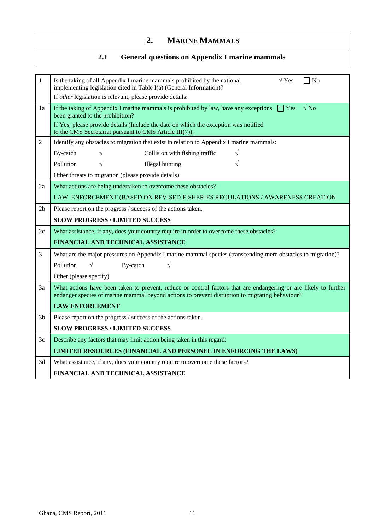### **2. MARINE MAMMALS**

### **2.1 General questions on Appendix I marine mammals**

| 1              | $\sqrt{Y}$ es<br>Is the taking of all Appendix I marine mammals prohibited by the national<br>$\neg$ No<br>implementing legislation cited in Table I(a) (General Information)?                                                                                                                         |  |  |
|----------------|--------------------------------------------------------------------------------------------------------------------------------------------------------------------------------------------------------------------------------------------------------------------------------------------------------|--|--|
|                | If other legislation is relevant, please provide details:                                                                                                                                                                                                                                              |  |  |
| 1a             | If the taking of Appendix I marine mammals is prohibited by law, have any exceptions $\Box$ Yes<br>$\sqrt{N_Q}$<br>been granted to the prohibition?<br>If Yes, please provide details (Include the date on which the exception was notified<br>to the CMS Secretariat pursuant to CMS Article III(7)): |  |  |
| $\overline{2}$ | Identify any obstacles to migration that exist in relation to Appendix I marine mammals:                                                                                                                                                                                                               |  |  |
|                | Collision with fishing traffic<br>By-catch                                                                                                                                                                                                                                                             |  |  |
|                | Pollution<br><b>Illegal</b> hunting                                                                                                                                                                                                                                                                    |  |  |
|                | Other threats to migration (please provide details)                                                                                                                                                                                                                                                    |  |  |
| 2a             | What actions are being undertaken to overcome these obstacles?                                                                                                                                                                                                                                         |  |  |
|                | LAW ENFORCEMENT (BASED ON REVISED FISHERIES REGULATIONS / AWARENESS CREATION                                                                                                                                                                                                                           |  |  |
| 2b             | Please report on the progress / success of the actions taken.                                                                                                                                                                                                                                          |  |  |
|                | <b>SLOW PROGRESS / LIMITED SUCCESS</b>                                                                                                                                                                                                                                                                 |  |  |
|                |                                                                                                                                                                                                                                                                                                        |  |  |
| 2c             | What assistance, if any, does your country require in order to overcome these obstacles?                                                                                                                                                                                                               |  |  |
|                | FINANCIAL AND TECHNICAL ASSISTANCE                                                                                                                                                                                                                                                                     |  |  |
| 3              | What are the major pressures on Appendix I marine mammal species (transcending mere obstacles to migration)?                                                                                                                                                                                           |  |  |
|                | Pollution<br>$\sqrt{}$<br>By-catch                                                                                                                                                                                                                                                                     |  |  |
|                | Other (please specify)                                                                                                                                                                                                                                                                                 |  |  |
| 3a             | What actions have been taken to prevent, reduce or control factors that are endangering or are likely to further<br>endanger species of marine mammal beyond actions to prevent disruption to migrating behaviour?                                                                                     |  |  |
|                | <b>LAW ENFORCEMENT</b>                                                                                                                                                                                                                                                                                 |  |  |
| 3b             | Please report on the progress / success of the actions taken.                                                                                                                                                                                                                                          |  |  |
|                | <b>SLOW PROGRESS / LIMITED SUCCESS</b>                                                                                                                                                                                                                                                                 |  |  |
| 3c             | Describe any factors that may limit action being taken in this regard:                                                                                                                                                                                                                                 |  |  |
|                | LIMITED RESOURCES (FINANCIAL AND PERSONEL IN ENFORCING THE LAWS)                                                                                                                                                                                                                                       |  |  |
| 3d             | What assistance, if any, does your country require to overcome these factors?                                                                                                                                                                                                                          |  |  |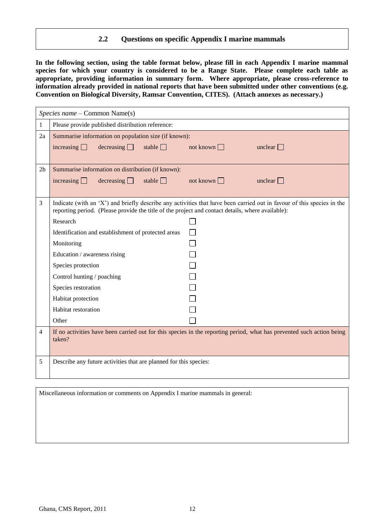#### **2.2 Questions on specific Appendix I marine mammals**

**In the following section, using the table format below, please fill in each Appendix I marine mammal species for which your country is considered to be a Range State. Please complete each table as appropriate, providing information in summary form. Where appropriate, please cross-reference to information already provided in national reports that have been submitted under other conventions (e.g. Convention on Biological Diversity, Ramsar Convention, CITES). (Attach annexes as necessary.)**

|                | Species name - Common Name(s)                                                                                                                                                                                               |                  |                |
|----------------|-----------------------------------------------------------------------------------------------------------------------------------------------------------------------------------------------------------------------------|------------------|----------------|
| $\mathbf{1}$   | Please provide published distribution reference:                                                                                                                                                                            |                  |                |
| 2a             | Summarise information on population size (if known):                                                                                                                                                                        |                  |                |
|                | increasing $\Box$<br>decreasing<br>stable $\Box$                                                                                                                                                                            | not known $\Box$ | unclear $\Box$ |
|                |                                                                                                                                                                                                                             |                  |                |
| 2 <sub>b</sub> | Summarise information on distribution (if known):                                                                                                                                                                           |                  |                |
|                | increasing $\Box$<br>decreasing<br>stable $\Box$                                                                                                                                                                            | not known $\Box$ | unclear $\Box$ |
|                |                                                                                                                                                                                                                             |                  |                |
| 3              | Indicate (with an 'X') and briefly describe any activities that have been carried out in favour of this species in the<br>reporting period. (Please provide the title of the project and contact details, where available): |                  |                |
|                | Research                                                                                                                                                                                                                    |                  |                |
|                | Identification and establishment of protected areas                                                                                                                                                                         | $\Box$           |                |
|                | Monitoring                                                                                                                                                                                                                  |                  |                |
|                | Education / awareness rising                                                                                                                                                                                                |                  |                |
|                | Species protection                                                                                                                                                                                                          |                  |                |
|                | Control hunting / poaching                                                                                                                                                                                                  |                  |                |
|                | Species restoration                                                                                                                                                                                                         |                  |                |
|                | Habitat protection                                                                                                                                                                                                          |                  |                |
|                | Habitat restoration                                                                                                                                                                                                         |                  |                |
|                | Other                                                                                                                                                                                                                       |                  |                |
| 4              | If no activities have been carried out for this species in the reporting period, what has prevented such action being<br>taken?                                                                                             |                  |                |
| 5              | Describe any future activities that are planned for this species:                                                                                                                                                           |                  |                |

Miscellaneous information or comments on Appendix I marine mammals in general: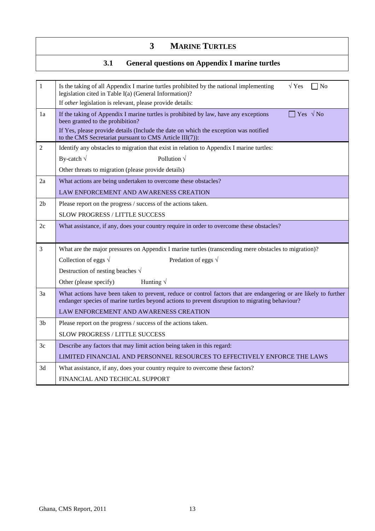### **3 MARINE TURTLES**

### **3.1 General questions on Appendix I marine turtles**

| $\mathbf{1}$   | $\sqrt{Y}$ es<br>Is the taking of all Appendix I marine turtles prohibited by the national implementing<br>$\n  No\n$<br>legislation cited in Table I(a) (General Information)?                                                                                                                 |
|----------------|-------------------------------------------------------------------------------------------------------------------------------------------------------------------------------------------------------------------------------------------------------------------------------------------------|
|                | If other legislation is relevant, please provide details:                                                                                                                                                                                                                                       |
| 1a             | Yes $\sqrt{N_0}$<br>If the taking of Appendix I marine turtles is prohibited by law, have any exceptions<br>been granted to the prohibition?<br>If Yes, please provide details (Include the date on which the exception was notified<br>to the CMS Secretariat pursuant to CMS Article III(7)): |
| $\overline{2}$ | Identify any obstacles to migration that exist in relation to Appendix I marine turtles:                                                                                                                                                                                                        |
|                | Pollution $\sqrt{}$<br>By-catch $\sqrt{}$                                                                                                                                                                                                                                                       |
|                | Other threats to migration (please provide details)                                                                                                                                                                                                                                             |
| 2a             | What actions are being undertaken to overcome these obstacles?                                                                                                                                                                                                                                  |
|                | LAW ENFORCEMENT AND AWARENESS CREATION                                                                                                                                                                                                                                                          |
| 2 <sub>b</sub> | Please report on the progress / success of the actions taken.                                                                                                                                                                                                                                   |
|                | <b>SLOW PROGRESS / LITTLE SUCCESS</b>                                                                                                                                                                                                                                                           |
| 2c             | What assistance, if any, does your country require in order to overcome these obstacles?                                                                                                                                                                                                        |
|                |                                                                                                                                                                                                                                                                                                 |
| $\overline{3}$ | What are the major pressures on Appendix I marine turtles (transcending mere obstacles to migration)?                                                                                                                                                                                           |
|                | Collection of eggs $\sqrt$<br>Predation of eggs $\sqrt{ }$                                                                                                                                                                                                                                      |
|                | Destruction of nesting beaches $\sqrt{ }$                                                                                                                                                                                                                                                       |
|                | Hunting $\sqrt{}$<br>Other (please specify)                                                                                                                                                                                                                                                     |
| 3a             | What actions have been taken to prevent, reduce or control factors that are endangering or are likely to further<br>endanger species of marine turtles beyond actions to prevent disruption to migrating behaviour?                                                                             |
|                | LAW ENFORCEMENT AND AWARENESS CREATION                                                                                                                                                                                                                                                          |
| 3 <sub>b</sub> | Please report on the progress / success of the actions taken.                                                                                                                                                                                                                                   |
|                | SLOW PROGRESS / LITTLE SUCCESS                                                                                                                                                                                                                                                                  |
| 3c             | Describe any factors that may limit action being taken in this regard:                                                                                                                                                                                                                          |
|                | LIMITED FINANCIAL AND PERSONNEL RESOURCES TO EFFECTIVELY ENFORCE THE LAWS                                                                                                                                                                                                                       |
| 3d             | What assistance, if any, does your country require to overcome these factors?                                                                                                                                                                                                                   |
|                | FINANCIAL AND TECHICAL SUPPORT                                                                                                                                                                                                                                                                  |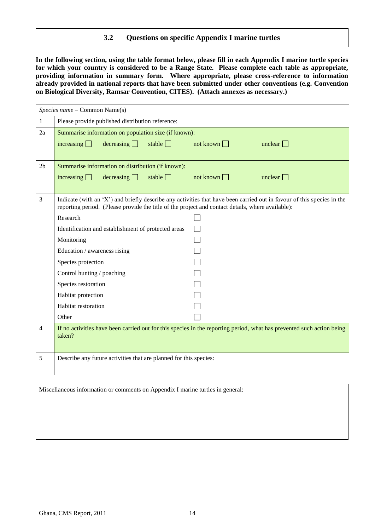#### **3.2 Questions on specific Appendix I marine turtles**

**In the following section, using the table format below, please fill in each Appendix I marine turtle species for which your country is considered to be a Range State. Please complete each table as appropriate, providing information in summary form. Where appropriate, please cross-reference to information already provided in national reports that have been submitted under other conventions (e.g. Convention on Biological Diversity, Ramsar Convention, CITES). (Attach annexes as necessary.)**

|                | Species name - Common Name(s)                                                                                                                                                                                               |                  |                |
|----------------|-----------------------------------------------------------------------------------------------------------------------------------------------------------------------------------------------------------------------------|------------------|----------------|
| $\mathbf{1}$   | Please provide published distribution reference:                                                                                                                                                                            |                  |                |
| 2a             | Summarise information on population size (if known):                                                                                                                                                                        |                  |                |
|                | increasing $\Box$<br>decreasing<br>stable $\Box$                                                                                                                                                                            | not known $\Box$ | unclear $\Box$ |
| 2 <sub>b</sub> | Summarise information on distribution (if known):                                                                                                                                                                           |                  |                |
|                | decreasing<br>increasing $\Box$<br>stable $\Box$                                                                                                                                                                            | not known $\Box$ | unclear $\Box$ |
| 3              | Indicate (with an 'X') and briefly describe any activities that have been carried out in favour of this species in the<br>reporting period. (Please provide the title of the project and contact details, where available): |                  |                |
|                | Research                                                                                                                                                                                                                    |                  |                |
|                | Identification and establishment of protected areas                                                                                                                                                                         |                  |                |
|                | Monitoring                                                                                                                                                                                                                  |                  |                |
|                | Education / awareness rising                                                                                                                                                                                                |                  |                |
|                | Species protection                                                                                                                                                                                                          |                  |                |
|                | Control hunting / poaching                                                                                                                                                                                                  |                  |                |
|                | Species restoration                                                                                                                                                                                                         |                  |                |
|                | Habitat protection                                                                                                                                                                                                          |                  |                |
|                | Habitat restoration                                                                                                                                                                                                         |                  |                |
|                | Other                                                                                                                                                                                                                       |                  |                |
| $\overline{4}$ | If no activities have been carried out for this species in the reporting period, what has prevented such action being<br>taken?                                                                                             |                  |                |
| 5              | Describe any future activities that are planned for this species:                                                                                                                                                           |                  |                |

Miscellaneous information or comments on Appendix I marine turtles in general: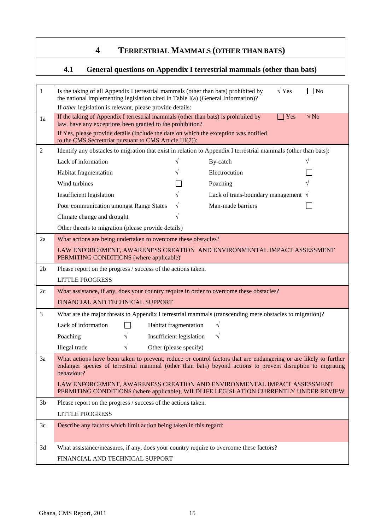### **4 TERRESTRIAL MAMMALS (OTHER THAN BATS)**

### **4.1 General questions on Appendix I terrestrial mammals (other than bats)**

| $\mathbf{1}$   | $\sqrt{Y}$ es<br>$\neg$ No<br>Is the taking of all Appendix I terrestrial mammals (other than bats) prohibited by<br>the national implementing legislation cited in Table I(a) (General Information)?                                        |  |  |
|----------------|----------------------------------------------------------------------------------------------------------------------------------------------------------------------------------------------------------------------------------------------|--|--|
|                | If other legislation is relevant, please provide details:                                                                                                                                                                                    |  |  |
| 1a             | $\sqrt{\text{No}}$<br>If the taking of Appendix I terrestrial mammals (other than bats) is prohibited by<br>Yes<br>law, have any exceptions been granted to the prohibition?                                                                 |  |  |
|                | If Yes, please provide details (Include the date on which the exception was notified                                                                                                                                                         |  |  |
|                | to the CMS Secretariat pursuant to CMS Article III(7)):                                                                                                                                                                                      |  |  |
| $\overline{2}$ | Identify any obstacles to migration that exist in relation to Appendix I terrestrial mammals (other than bats):                                                                                                                              |  |  |
|                | Lack of information<br>By-catch                                                                                                                                                                                                              |  |  |
|                | Electrocution<br>Habitat fragmentation                                                                                                                                                                                                       |  |  |
|                | Wind turbines<br>Poaching                                                                                                                                                                                                                    |  |  |
|                | Insufficient legislation<br>Lack of trans-boundary management $\sqrt{}$                                                                                                                                                                      |  |  |
|                | Poor communication amongst Range States<br>Man-made barriers                                                                                                                                                                                 |  |  |
|                | Climate change and drought                                                                                                                                                                                                                   |  |  |
|                | Other threats to migration (please provide details)                                                                                                                                                                                          |  |  |
| 2a             | What actions are being undertaken to overcome these obstacles?                                                                                                                                                                               |  |  |
|                | LAW ENFORCEMENT, AWARENESS CREATION AND ENVIRONMENTAL IMPACT ASSESSMENT<br>PERMITING CONDITIONS (where applicable)                                                                                                                           |  |  |
| 2 <sub>b</sub> | Please report on the progress / success of the actions taken.                                                                                                                                                                                |  |  |
|                | <b>LITTLE PROGRESS</b>                                                                                                                                                                                                                       |  |  |
| 2c             | What assistance, if any, does your country require in order to overcome these obstacles?                                                                                                                                                     |  |  |
|                | FINANCIAL AND TECHNICAL SUPPORT                                                                                                                                                                                                              |  |  |
| $\overline{3}$ | What are the major threats to Appendix I terrestrial mammals (transcending mere obstacles to migration)?                                                                                                                                     |  |  |
|                | Lack of information<br>$\sqrt{}$<br>Habitat fragmentation                                                                                                                                                                                    |  |  |
|                | $\sqrt{}$<br>Poaching<br>Insufficient legislation                                                                                                                                                                                            |  |  |
|                | Illegal trade<br>Other (please specify)<br>V                                                                                                                                                                                                 |  |  |
| 3a             | What actions have been taken to prevent, reduce or control factors that are endangering or are likely to further<br>endanger species of terrestrial mammal (other than bats) beyond actions to prevent disruption to migrating<br>behaviour? |  |  |
|                | LAW ENFORCEMENT, AWARENESS CREATION AND ENVIRONMENTAL IMPACT ASSESSMENT<br>PERMITING CONDITIONS (where applicable), WILDLIFE LEGISLATION CURRENTLY UNDER REVIEW                                                                              |  |  |
| 3 <sub>b</sub> | Please report on the progress / success of the actions taken.                                                                                                                                                                                |  |  |
|                | <b>LITTLE PROGRESS</b>                                                                                                                                                                                                                       |  |  |
| 3c             | Describe any factors which limit action being taken in this regard:                                                                                                                                                                          |  |  |
| 3d             | What assistance/measures, if any, does your country require to overcome these factors?                                                                                                                                                       |  |  |
|                |                                                                                                                                                                                                                                              |  |  |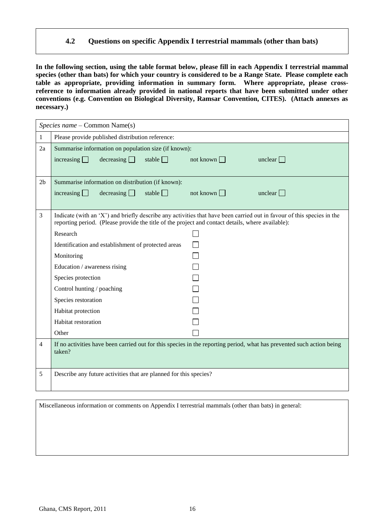#### **4.2 Questions on specific Appendix I terrestrial mammals (other than bats)**

**In the following section, using the table format below, please fill in each Appendix I terrestrial mammal species (other than bats) for which your country is considered to be a Range State. Please complete each table as appropriate, providing information in summary form. Where appropriate, please crossreference to information already provided in national reports that have been submitted under other conventions (e.g. Convention on Biological Diversity, Ramsar Convention, CITES). (Attach annexes as necessary.)**

|                | Species name – Common Name(s)                                                                                                                                                                                               |                  |                         |
|----------------|-----------------------------------------------------------------------------------------------------------------------------------------------------------------------------------------------------------------------------|------------------|-------------------------|
| 1              | Please provide published distribution reference:                                                                                                                                                                            |                  |                         |
| 2a             | Summarise information on population size (if known):                                                                                                                                                                        |                  |                         |
|                | decreasing<br>stable $\Box$<br>increasing $\Box$                                                                                                                                                                            | not known $\Box$ | unclear $\Box$          |
|                |                                                                                                                                                                                                                             |                  |                         |
| 2 <sub>b</sub> | Summarise information on distribution (if known):                                                                                                                                                                           |                  |                         |
|                | decreasing<br>stable $\Box$<br>increasing $\Box$                                                                                                                                                                            | not known $\Box$ | unclear $\vert \ \vert$ |
|                |                                                                                                                                                                                                                             |                  |                         |
| 3              | Indicate (with an 'X') and briefly describe any activities that have been carried out in favour of this species in the<br>reporting period. (Please provide the title of the project and contact details, where available): |                  |                         |
|                | Research                                                                                                                                                                                                                    |                  |                         |
|                | Identification and establishment of protected areas                                                                                                                                                                         |                  |                         |
|                | Monitoring                                                                                                                                                                                                                  |                  |                         |
|                | Education / awareness rising                                                                                                                                                                                                |                  |                         |
|                | Species protection                                                                                                                                                                                                          |                  |                         |
|                | Control hunting / poaching                                                                                                                                                                                                  |                  |                         |
|                | Species restoration                                                                                                                                                                                                         |                  |                         |
|                | Habitat protection                                                                                                                                                                                                          |                  |                         |
|                | Habitat restoration                                                                                                                                                                                                         |                  |                         |
|                | Other                                                                                                                                                                                                                       |                  |                         |
| 4              | If no activities have been carried out for this species in the reporting period, what has prevented such action being<br>taken?                                                                                             |                  |                         |
| 5              | Describe any future activities that are planned for this species?                                                                                                                                                           |                  |                         |

Miscellaneous information or comments on Appendix I terrestrial mammals (other than bats) in general: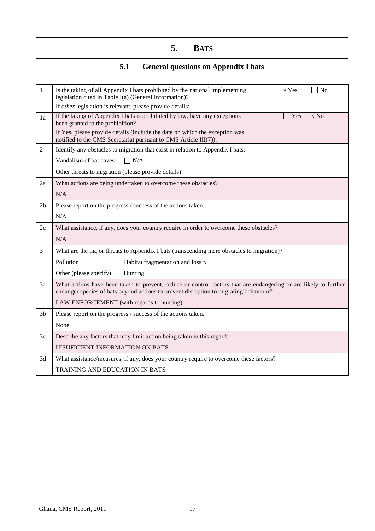### **5. BATS**

### **5.1 General questions on Appendix I bats**

| $\mathbf{1}$   | $\sqrt{Y}$ es<br>Is the taking of all Appendix I bats prohibited by the national implementing<br>$\neg$ No<br>legislation cited in Table I(a) (General Information)?                                      |
|----------------|-----------------------------------------------------------------------------------------------------------------------------------------------------------------------------------------------------------|
|                | If other legislation is relevant, please provide details:                                                                                                                                                 |
| 1a             | If the taking of Appendix I bats is prohibited by law, have any exceptions<br>$\sqrt{N_Q}$<br>Yes<br>been granted to the prohibition?                                                                     |
|                | If Yes, please provide details (Include the date on which the exception was<br>notified to the CMS Secretariat pursuant to CMS Article III(7)):                                                           |
| $\overline{2}$ | Identify any obstacles to migration that exist in relation to Appendix I bats:                                                                                                                            |
|                | Vandalism of bat caves<br>$\Box$ N/A                                                                                                                                                                      |
|                | Other threats to migration (please provide details)                                                                                                                                                       |
| 2a             | What actions are being undertaken to overcome these obstacles?                                                                                                                                            |
|                | N/A                                                                                                                                                                                                       |
| 2 <sub>b</sub> | Please report on the progress / success of the actions taken.                                                                                                                                             |
|                | N/A                                                                                                                                                                                                       |
| 2c             | What assistance, if any, does your country require in order to overcome these obstacles?                                                                                                                  |
|                | N/A                                                                                                                                                                                                       |
| 3              | What are the major threats to Appendix I bats (transcending mere obstacles to migration)?                                                                                                                 |
|                | Habitat fragmentation and loss $\sqrt{}$<br>Pollution $\Box$                                                                                                                                              |
|                | Other (please specify)<br>Hunting                                                                                                                                                                         |
| 3a             | What actions have been taken to prevent, reduce or control factors that are endangering or are likely to further<br>endanger species of bats beyond actions to prevent disruption to migrating behaviour? |
|                | LAW ENFORCEMENT (with regards to hunting)                                                                                                                                                                 |
| 3 <sub>b</sub> | Please report on the progress / success of the actions taken.                                                                                                                                             |
|                | None                                                                                                                                                                                                      |
| 3c             | Describe any factors that may limit action being taken in this regard:                                                                                                                                    |
|                | <b>UISUFICIENT INFORMATION ON BATS</b>                                                                                                                                                                    |
| 3d             | What assistance/measures, if any, does your country require to overcome these factors?                                                                                                                    |
|                | TRAINING AND EDUCATION IN BATS                                                                                                                                                                            |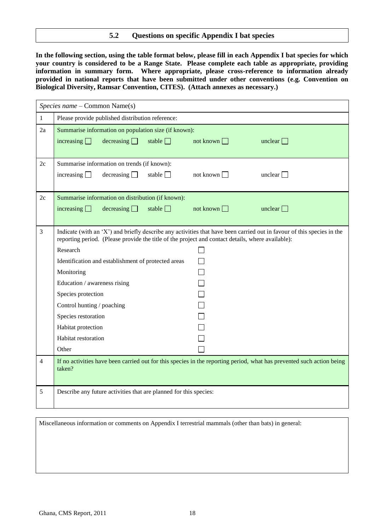#### **5.2 Questions on specific Appendix I bat species**

**In the following section, using the table format below, please fill in each Appendix I bat species for which your country is considered to be a Range State. Please complete each table as appropriate, providing information in summary form. Where appropriate, please cross-reference to information already provided in national reports that have been submitted under other conventions (e.g. Convention on Biological Diversity, Ramsar Convention, CITES). (Attach annexes as necessary.)**

|                | Species name - Common Name(s)                                                                                                                                                                                               |
|----------------|-----------------------------------------------------------------------------------------------------------------------------------------------------------------------------------------------------------------------------|
| $\mathbf{1}$   | Please provide published distribution reference:                                                                                                                                                                            |
| 2a             | Summarise information on population size (if known):<br>increasing $\Box$<br>decreasing<br>stable $\Box$<br>not known $\Box$<br>unclear $\Box$                                                                              |
|                |                                                                                                                                                                                                                             |
| 2c             | Summarise information on trends (if known):                                                                                                                                                                                 |
|                | increasing $\Box$<br>decreasing<br>stable $\Box$<br>not known $\Box$<br>unclear $\Box$                                                                                                                                      |
| 2c             | Summarise information on distribution (if known):                                                                                                                                                                           |
|                | decreasing $\Box$<br>stable $\Box$<br>not known $\Box$<br>increasing $\Box$<br>unclear $\Box$                                                                                                                               |
|                |                                                                                                                                                                                                                             |
| $\mathfrak{Z}$ | Indicate (with an 'X') and briefly describe any activities that have been carried out in favour of this species in the<br>reporting period. (Please provide the title of the project and contact details, where available): |
|                | Research                                                                                                                                                                                                                    |
|                | $\Box$<br>Identification and establishment of protected areas                                                                                                                                                               |
|                | Monitoring                                                                                                                                                                                                                  |
|                | Education / awareness rising                                                                                                                                                                                                |
|                | Species protection                                                                                                                                                                                                          |
|                | Control hunting / poaching                                                                                                                                                                                                  |
|                | Species restoration                                                                                                                                                                                                         |
|                | Habitat protection                                                                                                                                                                                                          |
|                | Habitat restoration                                                                                                                                                                                                         |
|                | Other                                                                                                                                                                                                                       |
| $\overline{4}$ | If no activities have been carried out for this species in the reporting period, what has prevented such action being<br>taken?                                                                                             |
| 5              | Describe any future activities that are planned for this species:                                                                                                                                                           |

Miscellaneous information or comments on Appendix I terrestrial mammals (other than bats) in general: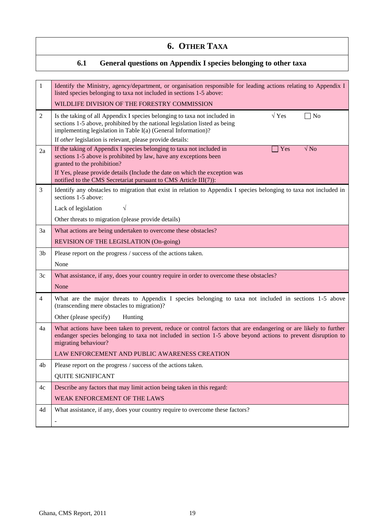### **6. OTHER TAXA**

### **6.1 General questions on Appendix I species belonging to other taxa**

| 1              | Identify the Ministry, agency/department, or organisation responsible for leading actions relating to Appendix I<br>listed species belonging to taxa not included in sections 1-5 above:                                                                                                                            |
|----------------|---------------------------------------------------------------------------------------------------------------------------------------------------------------------------------------------------------------------------------------------------------------------------------------------------------------------|
|                | WILDLIFE DIVISION OF THE FORESTRY COMMISSION                                                                                                                                                                                                                                                                        |
| $\overline{2}$ | $\sqrt{Y}$ es<br>Is the taking of all Appendix I species belonging to taxa not included in<br>$\neg$ No<br>sections 1-5 above, prohibited by the national legislation listed as being<br>implementing legislation in Table I(a) (General Information)?<br>If other legislation is relevant, please provide details: |
| 2a             | If the taking of Appendix I species belonging to taxa not included in<br>$\sqrt{N_Q}$<br>Yes<br>sections 1-5 above is prohibited by law, have any exceptions been<br>granted to the prohibition?                                                                                                                    |
|                | If Yes, please provide details (Include the date on which the exception was<br>notified to the CMS Secretariat pursuant to CMS Article III(7)):                                                                                                                                                                     |
| 3              | Identify any obstacles to migration that exist in relation to Appendix I species belonging to taxa not included in<br>sections 1-5 above:                                                                                                                                                                           |
|                | $\sqrt{}$<br>Lack of legislation                                                                                                                                                                                                                                                                                    |
|                | Other threats to migration (please provide details)                                                                                                                                                                                                                                                                 |
| 3a             | What actions are being undertaken to overcome these obstacles?                                                                                                                                                                                                                                                      |
|                | REVISION OF THE LEGISLATION (On-going)                                                                                                                                                                                                                                                                              |
| 3b             | Please report on the progress / success of the actions taken.                                                                                                                                                                                                                                                       |
|                | None                                                                                                                                                                                                                                                                                                                |
| 3c             | What assistance, if any, does your country require in order to overcome these obstacles?                                                                                                                                                                                                                            |
|                | None                                                                                                                                                                                                                                                                                                                |
| 4              | What are the major threats to Appendix I species belonging to taxa not included in sections 1-5 above<br>(transcending mere obstacles to migration)?                                                                                                                                                                |
|                | Other (please specify)<br>Hunting                                                                                                                                                                                                                                                                                   |
| 4a             | What actions have been taken to prevent, reduce or control factors that are endangering or are likely to further<br>endanger species belonging to taxa not included in section 1-5 above beyond actions to prevent disruption to<br>migrating behaviour?                                                            |
|                | LAW ENFORCEMENT AND PUBLIC AWARENESS CREATION                                                                                                                                                                                                                                                                       |
| 4b             | Please report on the progress / success of the actions taken.                                                                                                                                                                                                                                                       |
|                | <b>QUITE SIGNIFICANT</b>                                                                                                                                                                                                                                                                                            |
| 4c             | Describe any factors that may limit action being taken in this regard:                                                                                                                                                                                                                                              |
|                | WEAK ENFORCEMENT OF THE LAWS                                                                                                                                                                                                                                                                                        |
| 4d             | What assistance, if any, does your country require to overcome these factors?                                                                                                                                                                                                                                       |
|                |                                                                                                                                                                                                                                                                                                                     |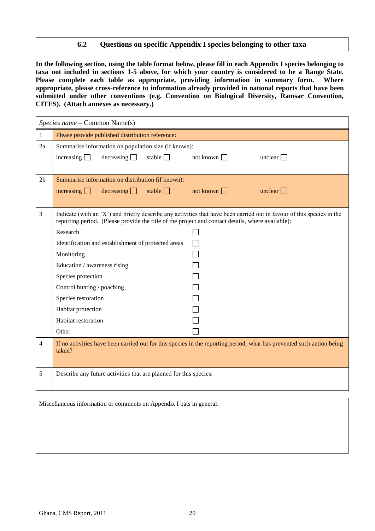#### **6.2 Questions on specific Appendix I species belonging to other taxa**

**In the following section, using the table format below, please fill in each Appendix I species belonging to taxa not included in sections 1-5 above, for which your country is considered to be a Range State. Please complete each table as appropriate, providing information in summary form. Where appropriate, please cross-reference to information already provided in national reports that have been submitted under other conventions (e.g. Convention on Biological Diversity, Ramsar Convention, CITES). (Attach annexes as necessary.)**

|                | Species name – Common Name(s)                                                                                                                                                                                               |                  |                |
|----------------|-----------------------------------------------------------------------------------------------------------------------------------------------------------------------------------------------------------------------------|------------------|----------------|
| $\mathbf{1}$   | Please provide published distribution reference:                                                                                                                                                                            |                  |                |
| 2a             | Summarise information on population size (if known):                                                                                                                                                                        |                  |                |
|                | decreasing<br>stable $\Box$<br>increasing $\Box$                                                                                                                                                                            | not known $\Box$ | unclear $\Box$ |
|                |                                                                                                                                                                                                                             |                  |                |
| 2 <sub>b</sub> | Summarise information on distribution (if known):                                                                                                                                                                           |                  |                |
|                | decreasing $\Box$<br>increasing $\Box$<br>stable $\Box$                                                                                                                                                                     | not known $\Box$ | unclear $\Box$ |
|                |                                                                                                                                                                                                                             |                  |                |
| 3              | Indicate (with an 'X') and briefly describe any activities that have been carried out in favour of this species in the<br>reporting period. (Please provide the title of the project and contact details, where available): |                  |                |
|                | Research                                                                                                                                                                                                                    |                  |                |
|                | Identification and establishment of protected areas                                                                                                                                                                         |                  |                |
|                | Monitoring                                                                                                                                                                                                                  |                  |                |
|                | Education / awareness rising                                                                                                                                                                                                |                  |                |
|                | Species protection                                                                                                                                                                                                          |                  |                |
|                | Control hunting / poaching                                                                                                                                                                                                  |                  |                |
|                | Species restoration                                                                                                                                                                                                         |                  |                |
|                | Habitat protection                                                                                                                                                                                                          |                  |                |
|                | Habitat restoration                                                                                                                                                                                                         |                  |                |
|                | Other                                                                                                                                                                                                                       |                  |                |
| 4              | If no activities have been carried out for this species in the reporting period, what has prevented such action being<br>taken?                                                                                             |                  |                |
| 5              | Describe any future activities that are planned for this species:                                                                                                                                                           |                  |                |

Miscellaneous information or comments on Appendix I bats in general: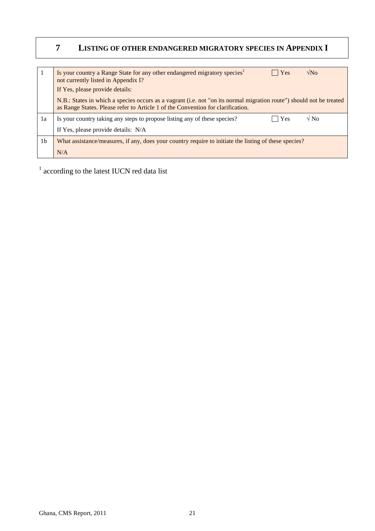### **7 LISTING OF OTHER ENDANGERED MIGRATORY SPECIES IN APPENDIX I**

|                | $\sqrt{\text{No}}$<br>Is your country a Range State for any other endangered migratory species <sup>1</sup><br>$ $ Yes<br>not currently listed in Appendix I?<br>If Yes, please provide details:        |
|----------------|---------------------------------------------------------------------------------------------------------------------------------------------------------------------------------------------------------|
|                | N.B.: States in which a species occurs as a vagrant (i.e. not "on its normal migration route") should not be treated<br>as Range States. Please refer to Article 1 of the Convention for clarification. |
| 1a             | $\sqrt{N_0}$<br>Yes<br>Is your country taking any steps to propose listing any of these species?                                                                                                        |
|                | If Yes, please provide details: N/A                                                                                                                                                                     |
| 1 <sub>b</sub> | What assistance/measures, if any, does your country require to initiate the listing of these species?                                                                                                   |
|                | N/A                                                                                                                                                                                                     |

<sup>1</sup> according to the latest IUCN red data list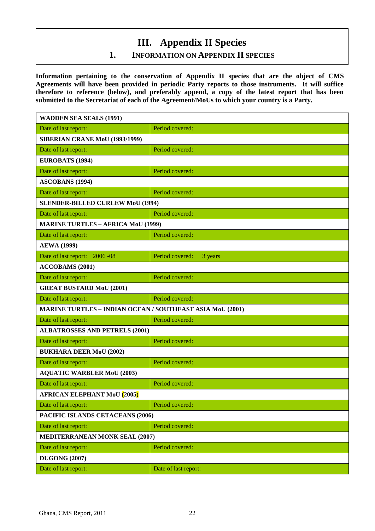## **III. Appendix II Species**

### **1. INFORMATION ON APPENDIX II SPECIES**

**Information pertaining to the conservation of Appendix II species that are the object of CMS Agreements will have been provided in periodic Party reports to those instruments. It will suffice therefore to reference (below), and preferably append, a copy of the latest report that has been submitted to the Secretariat of each of the Agreement/MoUs to which your country is a Party.**

| <b>WADDEN SEA SEALS (1991)</b>                                   |                            |  |
|------------------------------------------------------------------|----------------------------|--|
| Date of last report:                                             | Period covered:            |  |
| <b>SIBERIAN CRANE MoU (1993/1999)</b>                            |                            |  |
| Date of last report:                                             | Period covered:            |  |
| EUROBATS (1994)                                                  |                            |  |
| Date of last report:                                             | Period covered:            |  |
| <b>ASCOBANS (1994)</b>                                           |                            |  |
| Date of last report:                                             | Period covered:            |  |
| <b>SLENDER-BILLED CURLEW MoU (1994)</b>                          |                            |  |
| Date of last report:                                             | Period covered:            |  |
| <b>MARINE TURTLES - AFRICA MoU (1999)</b>                        |                            |  |
| Date of last report:                                             | Period covered:            |  |
| <b>AEWA</b> (1999)                                               |                            |  |
| Date of last report: 2006 -08                                    | Period covered:<br>3 years |  |
| <b>ACCOBAMS</b> (2001)                                           |                            |  |
| Date of last report:                                             | Period covered:            |  |
| <b>GREAT BUSTARD MoU (2001)</b>                                  |                            |  |
|                                                                  |                            |  |
| Date of last report:                                             | Period covered:            |  |
| <b>MARINE TURTLES - INDIAN OCEAN / SOUTHEAST ASIA MoU (2001)</b> |                            |  |
| Date of last report:                                             | Period covered:            |  |
| <b>ALBATROSSES AND PETRELS (2001)</b>                            |                            |  |
| Date of last report:                                             | Period covered:            |  |
| <b>BUKHARA DEER MoU (2002)</b>                                   |                            |  |
| Date of last report:                                             | Period covered:            |  |
| <b>AQUATIC WARBLER MoU (2003)</b>                                |                            |  |
| Date of last report:                                             | Period covered:            |  |
| <b>AFRICAN ELEPHANT MoU (2005)</b>                               |                            |  |
| Date of last report:                                             | Period covered:            |  |
| PACIFIC ISLANDS CETACEANS (2006)                                 |                            |  |
| Date of last report:                                             | Period covered:            |  |
| <b>MEDITERRANEAN MONK SEAL (2007)</b>                            |                            |  |
| Date of last report:                                             | Period covered:            |  |
| <b>DUGONG (2007)</b>                                             |                            |  |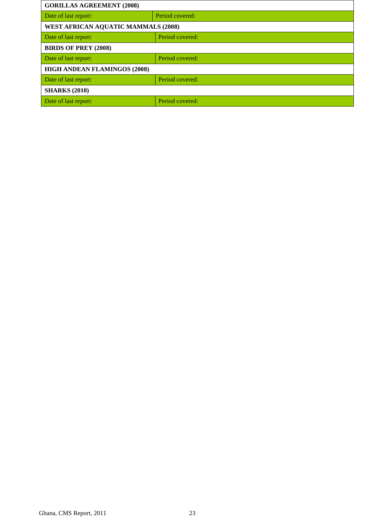| <b>GORILLAS AGREEMENT (2008)</b>           |                 |  |
|--------------------------------------------|-----------------|--|
| Date of last report:                       | Period covered: |  |
| <b>WEST AFRICAN AQUATIC MAMMALS (2008)</b> |                 |  |
| Date of last report:                       | Period covered: |  |
| <b>BIRDS OF PREY (2008)</b>                |                 |  |
| Date of last report:                       | Period covered: |  |
| <b>HIGH ANDEAN FLAMINGOS (2008)</b>        |                 |  |
| Period covered:<br>Date of last report:    |                 |  |
| <b>SHARKS (2010)</b>                       |                 |  |
| Date of last report:                       | Period covered: |  |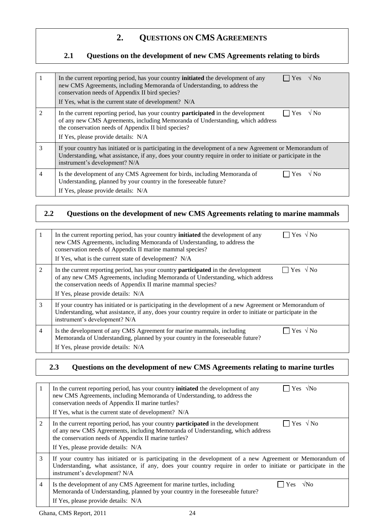### **2. QUESTIONS ON CMS AGREEMENTS**

#### **2.1 Questions on the development of new CMS Agreements relating to birds**

|               | $\Box$ Yes $\sqrt{N_0}$<br>In the current reporting period, has your country <b>initiated</b> the development of any<br>new CMS Agreements, including Memoranda of Understanding, to address the<br>conservation needs of Appendix II bird species?<br>If Yes, what is the current state of development? N/A |
|---------------|--------------------------------------------------------------------------------------------------------------------------------------------------------------------------------------------------------------------------------------------------------------------------------------------------------------|
| $\mathcal{D}$ | Yes $\sqrt{N_0}$<br>In the current reporting period, has your country <b>participated</b> in the development<br>of any new CMS Agreements, including Memoranda of Understanding, which address<br>the conservation needs of Appendix II bird species?<br>If Yes, please provide details: N/A                 |
| 3             | If your country has initiated or is participating in the development of a new Agreement or Memorandum of<br>Understanding, what assistance, if any, does your country require in order to initiate or participate in the<br>instrument's development? N/A                                                    |
| 4             | $\sqrt{N_0}$<br>Is the development of any CMS Agreement for birds, including Memoranda of<br>Yes<br>Understanding, planned by your country in the foreseeable future?<br>If Yes, please provide details: N/A                                                                                                 |

### **2.2 Questions on the development of new CMS Agreements relating to marine mammals**

|                | $\Box$ Yes $\sqrt{N_0}$<br>In the current reporting period, has your country <b>initiated</b> the development of any<br>new CMS Agreements, including Memoranda of Understanding, to address the<br>conservation needs of Appendix II marine mammal species?<br>If Yes, what is the current state of development? N/A |
|----------------|-----------------------------------------------------------------------------------------------------------------------------------------------------------------------------------------------------------------------------------------------------------------------------------------------------------------------|
| $\mathfrak{D}$ | Yes $\sqrt{N_0}$<br>In the current reporting period, has your country <b>participated</b> in the development<br>of any new CMS Agreements, including Memoranda of Understanding, which address<br>the conservation needs of Appendix II marine mammal species?<br>If Yes, please provide details: N/A                 |
| 3              | If your country has initiated or is participating in the development of a new Agreement or Memorandum of<br>Understanding, what assistance, if any, does your country require in order to initiate or participate in the<br>instrument's development? N/A                                                             |
| $\overline{4}$ | $\Box$ Yes $\sqrt{N_{0}}$<br>Is the development of any CMS Agreement for marine mammals, including<br>Memoranda of Understanding, planned by your country in the foreseeable future?<br>If Yes, please provide details: N/A                                                                                           |

### **2.3 Questions on the development of new CMS Agreements relating to marine turtles**

|                | $\gamma$ Yes $\sqrt{N_Q}$<br>In the current reporting period, has your country <b>initiated</b> the development of any<br>new CMS Agreements, including Memoranda of Understanding, to address the<br>conservation needs of Appendix II marine turtles?<br>If Yes, what is the current state of development? N/A |
|----------------|------------------------------------------------------------------------------------------------------------------------------------------------------------------------------------------------------------------------------------------------------------------------------------------------------------------|
| 2              | Yes $\sqrt{N_0}$<br>In the current reporting period, has your country <b>participated</b> in the development<br>of any new CMS Agreements, including Memoranda of Understanding, which address<br>the conservation needs of Appendix II marine turtles?<br>If Yes, please provide details: N/A                   |
| 3              | If your country has initiated or is participating in the development of a new Agreement or Memorandum of<br>Understanding, what assistance, if any, does your country require in order to initiate or participate in the<br>instrument's development? N/A                                                        |
| $\overline{4}$ | Is the development of any CMS Agreement for marine turtles, including<br>$\sqrt{N}$<br>Yes<br>Memoranda of Understanding, planned by your country in the foreseeable future?<br>If Yes, please provide details: N/A                                                                                              |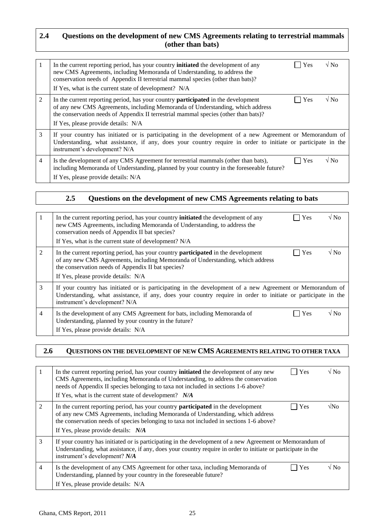#### **2.4 Questions on the development of new CMS Agreements relating to terrestrial mammals (other than bats)**

| 1              | $\sqrt{N_0}$<br>Yes<br>In the current reporting period, has your country <b>initiated</b> the development of any<br>new CMS Agreements, including Memoranda of Understanding, to address the<br>conservation needs of Appendix II terrestrial mammal species (other than bats)?<br>If Yes, what is the current state of development? N/A |
|----------------|------------------------------------------------------------------------------------------------------------------------------------------------------------------------------------------------------------------------------------------------------------------------------------------------------------------------------------------|
| 2              | $\sqrt{N_0}$<br>Yes<br>In the current reporting period, has your country <b>participated</b> in the development<br>of any new CMS Agreements, including Memoranda of Understanding, which address<br>the conservation needs of Appendix II terrestrial mammal species (other than bats)?<br>If Yes, please provide details: N/A          |
| 3              | If your country has initiated or is participating in the development of a new Agreement or Memorandum of<br>Understanding, what assistance, if any, does your country require in order to initiate or participate in the<br>instrument's development? N/A                                                                                |
| $\overline{4}$ | $\sqrt{NQ}$<br>Yes<br>Is the development of any CMS Agreement for terrestrial mammals (other than bats),<br>including Memoranda of Understanding, planned by your country in the foreseeable future?<br>If Yes, please provide details: N/A                                                                                              |

#### **2.5 Questions on the development of new CMS Agreements relating to bats**

| 1              | In the current reporting period, has your country <b>initiated</b> the development of any<br>new CMS Agreements, including Memoranda of Understanding, to address the<br>conservation needs of Appendix II bat species?<br>If Yes, what is the current state of development? N/A | Yes | $\sqrt{N_0}$   |
|----------------|----------------------------------------------------------------------------------------------------------------------------------------------------------------------------------------------------------------------------------------------------------------------------------|-----|----------------|
| $\mathfrak{D}$ | In the current reporting period, has your country <b>participated</b> in the development<br>of any new CMS Agreements, including Memoranda of Understanding, which address<br>the conservation needs of Appendix II bat species?<br>If Yes, please provide details: N/A          | Yes | $\sqrt{N_{0}}$ |
| 3              | If your country has initiated or is participating in the development of a new Agreement or Memorandum of<br>Understanding, what assistance, if any, does your country require in order to initiate or participate in the<br>instrument's development? N/A                        |     |                |
| 4              | Is the development of any CMS Agreement for bats, including Memoranda of<br>Understanding, planned by your country in the future?<br>If Yes, please provide details: N/A                                                                                                         | Yes | $\sqrt{N_0}$   |

#### **2.6 QUESTIONS ON THE DEVELOPMENT OF NEW CMS AGREEMENTS RELATING TO OTHER TAXA**

|                | $\sqrt{NQ}$<br>Yes<br>In the current reporting period, has your country <b>initiated</b> the development of any new<br>CMS Agreements, including Memoranda of Understanding, to address the conservation<br>needs of Appendix II species belonging to taxa not included in sections 1-6 above?<br>If Yes, what is the current state of development? $N/A$ |
|----------------|-----------------------------------------------------------------------------------------------------------------------------------------------------------------------------------------------------------------------------------------------------------------------------------------------------------------------------------------------------------|
| 2              | In the current reporting period, has your country <b>participated</b> in the development<br>Yes<br>√No<br>of any new CMS Agreements, including Memoranda of Understanding, which address<br>the conservation needs of species belonging to taxa not included in sections 1-6 above?<br>If Yes, please provide details: N/A                                |
| 3              | If your country has initiated or is participating in the development of a new Agreement or Memorandum of<br>Understanding, what assistance, if any, does your country require in order to initiate or participate in the<br>instrument's development? N/A                                                                                                 |
| $\overline{4}$ | √ No<br>Is the development of any CMS Agreement for other taxa, including Memoranda of<br>Yes<br>Understanding, planned by your country in the foreseeable future?<br>If Yes, please provide details: N/A                                                                                                                                                 |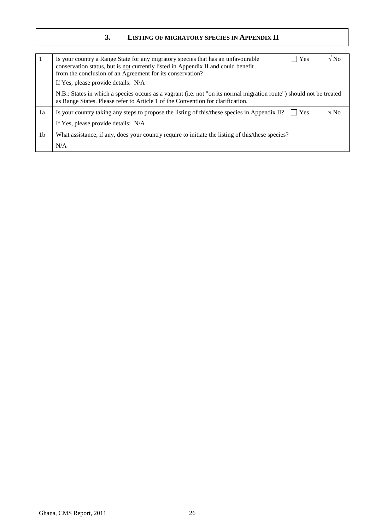#### **3. LISTING OF MIGRATORY SPECIES IN APPENDIX II**

|                | $\sqrt{N_0}$<br>Yes<br>Is your country a Range State for any migratory species that has an unfavourable<br>conservation status, but is not currently listed in Appendix II and could benefit<br>from the conclusion of an Agreement for its conservation?<br>If Yes, please provide details: N/A |
|----------------|--------------------------------------------------------------------------------------------------------------------------------------------------------------------------------------------------------------------------------------------------------------------------------------------------|
|                | N.B.: States in which a species occurs as a vagrant (i.e. not "on its normal migration route") should not be treated<br>as Range States. Please refer to Article 1 of the Convention for clarification.                                                                                          |
| 1a             | $\sqrt{N_0}$<br>Is your country taking any steps to propose the listing of this/these species in Appendix II? $\Box$ Yes                                                                                                                                                                         |
|                | If Yes, please provide details: N/A                                                                                                                                                                                                                                                              |
| 1 <sub>b</sub> | What assistance, if any, does your country require to initiate the listing of this/these species?                                                                                                                                                                                                |
|                | N/A                                                                                                                                                                                                                                                                                              |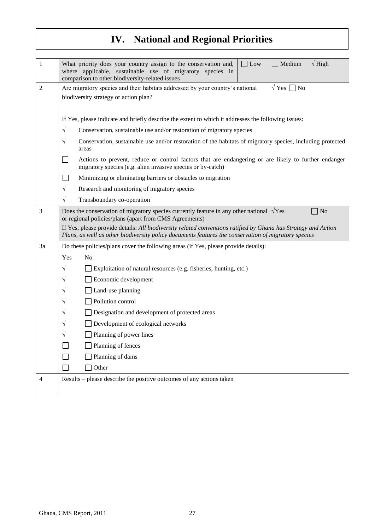# **IV. National and Regional Priorities**

| $\mathbf{1}$   | Medium<br>$\sqrt{High}$<br>$\Box$ Low<br>What priority does your country assign to the conservation and,<br>where applicable, sustainable use of migratory species in<br>comparison to other biodiversity-related issues                                                                                                                                                                                                                                                                                                                                                                                                                                                                                                                                                                                                                                                                                                                                                                      |  |
|----------------|-----------------------------------------------------------------------------------------------------------------------------------------------------------------------------------------------------------------------------------------------------------------------------------------------------------------------------------------------------------------------------------------------------------------------------------------------------------------------------------------------------------------------------------------------------------------------------------------------------------------------------------------------------------------------------------------------------------------------------------------------------------------------------------------------------------------------------------------------------------------------------------------------------------------------------------------------------------------------------------------------|--|
| $\overline{2}$ | $\sqrt{Y}$ es $\Box$ No<br>Are migratory species and their habitats addressed by your country's national<br>biodiversity strategy or action plan?                                                                                                                                                                                                                                                                                                                                                                                                                                                                                                                                                                                                                                                                                                                                                                                                                                             |  |
| 3              | If Yes, please indicate and briefly describe the extent to which it addresses the following issues:<br>$\sqrt{}$<br>Conservation, sustainable use and/or restoration of migratory species<br>Conservation, sustainable use and/or restoration of the habitats of migratory species, including protected<br>$\sqrt{}$<br>areas<br>Actions to prevent, reduce or control factors that are endangering or are likely to further endanger<br>$\Box$<br>migratory species (e.g. alien invasive species or by-catch)<br>Minimizing or eliminating barriers or obstacles to migration<br>$\sim$<br>$\sqrt{}$<br>Research and monitoring of migratory species<br>Transboundary co-operation<br>$\sqrt{ }$<br>$\Box$ No<br>Does the conservation of migratory species currently feature in any other national $\sqrt{Yes}$<br>or regional policies/plans (apart from CMS Agreements)<br>If Yes, please provide details: All biodiversity related conventions ratified by Ghana has Strategy and Action |  |
| 3a             | Plans, as well as other biodiversity policy documents features the conservation of migratory species<br>Do these policies/plans cover the following areas (if Yes, please provide details):                                                                                                                                                                                                                                                                                                                                                                                                                                                                                                                                                                                                                                                                                                                                                                                                   |  |
|                | N <sub>o</sub><br>Yes<br>$\sqrt{}$<br>Exploitation of natural resources (e.g. fisheries, hunting, etc.)<br>Economic development<br>V<br>Land-use planning<br>V<br>Pollution control<br>V<br>Designation and development of protected areas<br>V<br>Development of ecological networks<br>V<br>Planning of power lines<br>V<br>Planning of fences<br>Planning of dams<br>Other                                                                                                                                                                                                                                                                                                                                                                                                                                                                                                                                                                                                                 |  |
| 4              | Results – please describe the positive outcomes of any actions taken                                                                                                                                                                                                                                                                                                                                                                                                                                                                                                                                                                                                                                                                                                                                                                                                                                                                                                                          |  |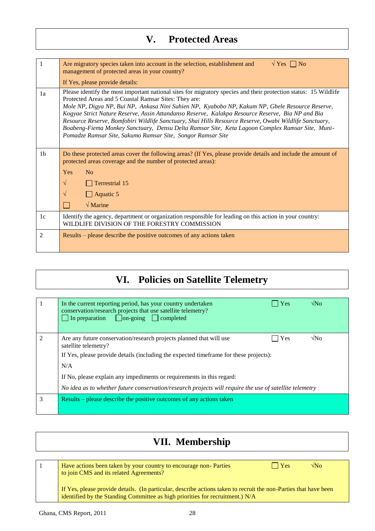## **V. Protected Areas**

| 1              | $\sqrt{Y}$ es $\Box$ No<br>Are migratory species taken into account in the selection, establishment and<br>management of protected areas in your country?<br>If Yes, please provide details:                                                                                                                                                                                                                                                                                                                                                                                                                                                                 |
|----------------|--------------------------------------------------------------------------------------------------------------------------------------------------------------------------------------------------------------------------------------------------------------------------------------------------------------------------------------------------------------------------------------------------------------------------------------------------------------------------------------------------------------------------------------------------------------------------------------------------------------------------------------------------------------|
| 1a             | Please identify the most important national sites for migratory species and their protection status: 15 Wildlife<br>Protected Areas and 5 Coastal Ramsar Sites: They are:<br>Mole NP, Digya NP, Bui NP, Ankasa Nini Suhien NP, Kyabobo NP, Kakum NP, Gbele Resource Reserve,<br>Kogyae Strict Nature Reserve, Assin Attandanso Reserve, Kalakpa Resource Reserve, Bia NP and Bia<br>Resource Reserve, Bomfobiri Wildlife Sanctuary, Shai Hills Resource Reserve, Owabi Wildlife Sanctuary,<br>Boabeng-Fiema Monkey Sanctuary, Densu Delta Ramsar Site, Keta Lagoon Complex Ramsar Site, Muni-<br>Pomadze Ramsar Site, Sakumo Ramsar Site, Songor Ramsar Site |
| 1 <sub>b</sub> | Do these protected areas cover the following areas? (If Yes, please provide details and include the amount of<br>protected areas coverage and the number of protected areas):<br>Yes<br>No<br>$\sqrt{}$<br>$\Box$ Terrestrial 15<br>$\Box$ Aquatic 5<br>$\sqrt{}$<br>$\sqrt{\text{Marine}}$                                                                                                                                                                                                                                                                                                                                                                  |
| 1c             | Identify the agency, department or organization responsible for leading on this action in your country:<br>WILDLIFE DIVISION OF THE FORESTRY COMMISSION                                                                                                                                                                                                                                                                                                                                                                                                                                                                                                      |
| 2              | Results – please describe the positive outcomes of any actions taken                                                                                                                                                                                                                                                                                                                                                                                                                                                                                                                                                                                         |

# **VI. Policies on Satellite Telemetry**

|               | $\sqrt{\rm N}_{\Omega}$<br>In the current reporting period, has your country undertaken<br>Yes<br>conservation/research projects that use satellite telemetry?<br>$\Box$ In preparation $\Box$ on-going $\Box$ completed |
|---------------|--------------------------------------------------------------------------------------------------------------------------------------------------------------------------------------------------------------------------|
| $\mathcal{L}$ | $\sqrt{N}$<br>Are any future conservation/research projects planned that will use<br><b>Yes</b><br>satellite telemetry?<br>If Yes, please provide details (including the expected timeframe for these projects):<br>N/A  |
|               | If No, please explain any impediments or requirements in this regard:                                                                                                                                                    |
|               | No idea as to whether future conservation/research projects will require the use of satellite telemetry                                                                                                                  |
| 3             | Results – please describe the positive outcomes of any actions taken                                                                                                                                                     |

# **VII. Membership**

| Have actions been taken by your country to encourage non-Parties<br>to join CMS and its related Agreements?                                                                                       | Yes | $\sqrt{N_{O}}$ |
|---------------------------------------------------------------------------------------------------------------------------------------------------------------------------------------------------|-----|----------------|
| If Yes, please provide details. (In particular, describe actions taken to recruit the non-Parties that have been<br>identified by the Standing Committee as high priorities for recruitment.) N/A |     |                |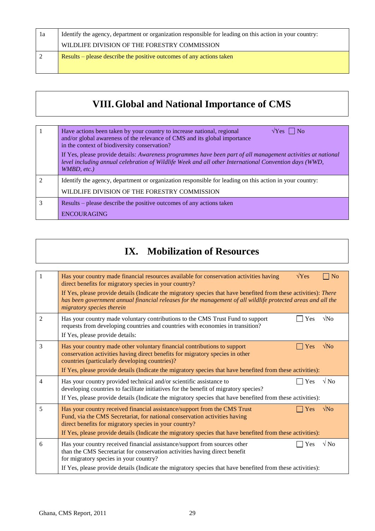| 1a | Identify the agency, department or organization responsible for leading on this action in your country: |
|----|---------------------------------------------------------------------------------------------------------|
|    | WILDLIFE DIVISION OF THE FORESTRY COMMISSION                                                            |
|    | Results – please describe the positive outcomes of any actions taken                                    |
|    |                                                                                                         |

# **VIII.Global and National Importance of CMS**

|                             | Have actions been taken by your country to increase national, regional<br>$\sqrt{Y}$ es     No<br>and/or global awareness of the relevance of CMS and its global importance<br>in the context of biodiversity conservation?<br>If Yes, please provide details: Awareness programmes have been part of all management activities at national<br>level including annual celebration of Wildlife Week and all other International Convention days (WWD,<br>WMBD, etc.) |
|-----------------------------|---------------------------------------------------------------------------------------------------------------------------------------------------------------------------------------------------------------------------------------------------------------------------------------------------------------------------------------------------------------------------------------------------------------------------------------------------------------------|
| $\mathcal{D}_{\mathcal{L}}$ | Identify the agency, department or organization responsible for leading on this action in your country:<br>WILDLIFE DIVISION OF THE FORESTRY COMMISSION                                                                                                                                                                                                                                                                                                             |
|                             | Results – please describe the positive outcomes of any actions taken<br><b>ENCOURAGING</b>                                                                                                                                                                                                                                                                                                                                                                          |

# **IX. Mobilization of Resources**

| 1              | $\sqrt{Yes}$<br>Has your country made financial resources available for conservation activities having<br>$\overline{\phantom{a}}$ No<br>direct benefits for migratory species in your country?<br>If Yes, please provide details (Indicate the migratory species that have benefited from these activities): There<br>has been government annual financial releases for the management of all wildlife protected areas and all the<br>migratory species therein |
|----------------|------------------------------------------------------------------------------------------------------------------------------------------------------------------------------------------------------------------------------------------------------------------------------------------------------------------------------------------------------------------------------------------------------------------------------------------------------------------|
| $\overline{2}$ | $\sqrt{\text{No}}$<br>Has your country made voluntary contributions to the CMS Trust Fund to support<br>Yes<br>requests from developing countries and countries with economies in transition?<br>If Yes, please provide details:                                                                                                                                                                                                                                 |
| 3              | $\sqrt{\text{No}}$<br>Has your country made other voluntary financial contributions to support<br>Yes<br>conservation activities having direct benefits for migratory species in other<br>countries (particularly developing countries)?<br>If Yes, please provide details (Indicate the migratory species that have benefited from these activities):                                                                                                           |
| 4              | $\sqrt{N_0}$<br>Has your country provided technical and/or scientific assistance to<br>Yes<br>developing countries to facilitate initiatives for the benefit of migratory species?<br>If Yes, please provide details (Indicate the migratory species that have benefited from these activities):                                                                                                                                                                 |
| 5              | $\sqrt{\text{No}}$<br>Has your country received financial assistance/support from the CMS Trust<br><b>Yes</b><br>Fund, via the CMS Secretariat, for national conservation activities having<br>direct benefits for migratory species in your country?<br>If Yes, please provide details (Indicate the migratory species that have benefited from these activities):                                                                                              |
| 6              | $\sqrt{N_Q}$<br>Has your country received financial assistance/support from sources other<br>Yes<br>than the CMS Secretariat for conservation activities having direct benefit<br>for migratory species in your country?<br>If Yes, please provide details (Indicate the migratory species that have benefited from these activities):                                                                                                                           |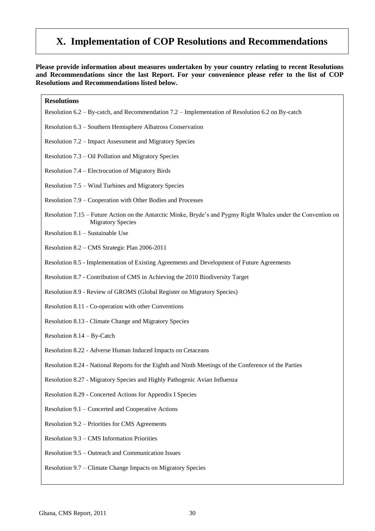### **X. Implementation of COP Resolutions and Recommendations**

**Please provide information about measures undertaken by your country relating to recent Resolutions and Recommendations since the last Report. For your convenience please refer to the list of COP Resolutions and Recommendations listed below.**

| <b>Resolutions</b>                                                                                                                         |
|--------------------------------------------------------------------------------------------------------------------------------------------|
| Resolution 6.2 – By-catch, and Recommendation 7.2 – Implementation of Resolution 6.2 on By-catch                                           |
| Resolution 6.3 - Southern Hemisphere Albatross Conservation                                                                                |
| Resolution 7.2 – Impact Assessment and Migratory Species                                                                                   |
| Resolution 7.3 – Oil Pollution and Migratory Species                                                                                       |
| Resolution 7.4 – Electrocution of Migratory Birds                                                                                          |
| Resolution 7.5 – Wind Turbines and Migratory Species                                                                                       |
| Resolution 7.9 – Cooperation with Other Bodies and Processes                                                                               |
| Resolution 7.15 – Future Action on the Antarctic Minke, Bryde's and Pygmy Right Whales under the Convention on<br><b>Migratory Species</b> |
| Resolution 8.1 - Sustainable Use                                                                                                           |
| Resolution 8.2 - CMS Strategic Plan 2006-2011                                                                                              |
| Resolution 8.5 - Implementation of Existing Agreements and Development of Future Agreements                                                |
| Resolution 8.7 - Contribution of CMS in Achieving the 2010 Biodiversity Target                                                             |
| Resolution 8.9 - Review of GROMS (Global Register on Migratory Species)                                                                    |
| Resolution 8.11 - Co-operation with other Conventions                                                                                      |
| Resolution 8.13 - Climate Change and Migratory Species                                                                                     |
| Resolution $8.14 - By-Catch$                                                                                                               |
| Resolution 8.22 - Adverse Human Induced Impacts on Cetaceans                                                                               |
| Resolution 8.24 - National Reports for the Eighth and Ninth Meetings of the Conference of the Parties                                      |
| Resolution 8.27 - Migratory Species and Highly Pathogenic Avian Influenza                                                                  |
| Resolution 8.29 - Concerted Actions for Appendix I Species                                                                                 |
| Resolution 9.1 – Concerted and Cooperative Actions                                                                                         |
| Resolution 9.2 – Priorities for CMS Agreements                                                                                             |
| Resolution 9.3 - CMS Information Priorities                                                                                                |
| Resolution 9.5 – Outreach and Communication Issues                                                                                         |
| Resolution 9.7 – Climate Change Impacts on Migratory Species                                                                               |
|                                                                                                                                            |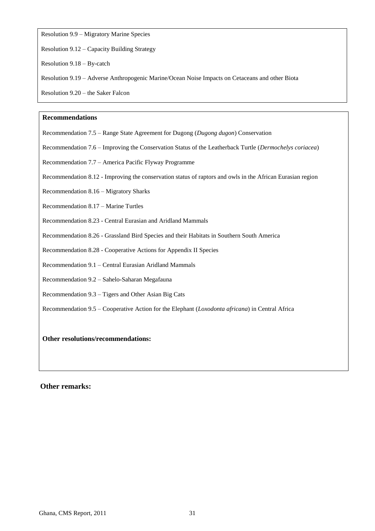Resolution 9.9 – Migratory Marine Species

Resolution 9.12 – Capacity Building Strategy

Resolution 9.18 – By-catch

Resolution 9.19 – Adverse Anthropogenic Marine/Ocean Noise Impacts on Cetaceans and other Biota

Resolution 9.20 – the Saker Falcon

#### **Recommendations**

Recommendation 7.5 – Range State Agreement for Dugong (*Dugong dugon*) Conservation

Recommendation 7.6 – Improving the Conservation Status of the Leatherback Turtle (*Dermochelys coriacea*)

Recommendation 7.7 – America Pacific Flyway Programme

Recommendation 8.12 - Improving the conservation status of raptors and owls in the African Eurasian region

Recommendation 8.16 – Migratory Sharks

Recommendation 8.17 – Marine Turtles

Recommendation 8.23 - Central Eurasian and Aridland Mammals

Recommendation 8.26 - Grassland Bird Species and their Habitats in Southern South America

Recommendation 8.28 - Cooperative Actions for Appendix II Species

Recommendation 9.1 – Central Eurasian Aridland Mammals

Recommendation 9.2 – Sahelo-Saharan Megafauna

Recommendation 9.3 – Tigers and Other Asian Big Cats

Recommendation 9.5 – Cooperative Action for the Elephant (*Loxodonta africana*) in Central Africa

**Other resolutions/recommendations:**

#### **Other remarks:**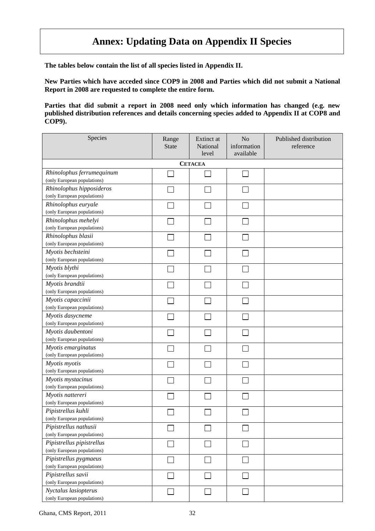### **Annex: Updating Data on Appendix II Species**

**The tables below contain the list of all species listed in Appendix II.**

**New Parties which have acceded since COP9 in 2008 and Parties which did not submit a National Report in 2008 are requested to complete the entire form.**

**Parties that did submit a report in 2008 need only which information has changed (e.g. new published distribution references and details concerning species added to Appendix II at COP8 and COP9).**

| Species                                           | Range<br><b>State</b> | Extinct at<br>National<br>level | N <sub>o</sub><br>information<br>available | Published distribution<br>reference |
|---------------------------------------------------|-----------------------|---------------------------------|--------------------------------------------|-------------------------------------|
|                                                   |                       | <b>CETACEA</b>                  |                                            |                                     |
| Rhinolophus ferrumequinum                         |                       |                                 |                                            |                                     |
| (only European populations)                       |                       |                                 |                                            |                                     |
| Rhinolophus hipposideros                          |                       |                                 |                                            |                                     |
| (only European populations)                       |                       |                                 |                                            |                                     |
| Rhinolophus euryale                               |                       |                                 |                                            |                                     |
| (only European populations)                       |                       |                                 |                                            |                                     |
| Rhinolophus mehelyi                               |                       |                                 |                                            |                                     |
| (only European populations)                       |                       |                                 |                                            |                                     |
| Rhinolophus blasii<br>(only European populations) |                       |                                 |                                            |                                     |
| Myotis bechsteini                                 |                       |                                 |                                            |                                     |
| (only European populations)                       |                       |                                 |                                            |                                     |
| Myotis blythi                                     |                       |                                 |                                            |                                     |
| (only European populations)                       |                       |                                 |                                            |                                     |
| Myotis brandtii                                   |                       |                                 |                                            |                                     |
| (only European populations)                       |                       |                                 |                                            |                                     |
| Myotis capaccinii                                 |                       |                                 |                                            |                                     |
| (only European populations)                       |                       |                                 |                                            |                                     |
| Myotis dasycneme                                  |                       |                                 |                                            |                                     |
| (only European populations)                       |                       |                                 |                                            |                                     |
| Myotis daubentoni                                 |                       |                                 |                                            |                                     |
| (only European populations)                       |                       |                                 |                                            |                                     |
| Myotis emarginatus                                |                       |                                 |                                            |                                     |
| (only European populations)                       |                       |                                 |                                            |                                     |
| Myotis myotis                                     |                       |                                 |                                            |                                     |
| (only European populations)                       |                       |                                 |                                            |                                     |
| Myotis mystacinus                                 |                       |                                 |                                            |                                     |
| (only European populations)                       |                       |                                 |                                            |                                     |
| Myotis nattereri<br>(only European populations)   |                       |                                 |                                            |                                     |
| Pipistrellus kuhli                                |                       |                                 |                                            |                                     |
| (only European populations)                       |                       |                                 |                                            |                                     |
| Pipistrellus nathusii                             |                       |                                 |                                            |                                     |
| (only European populations)                       |                       |                                 |                                            |                                     |
| Pipistrellus pipistrellus                         |                       |                                 |                                            |                                     |
| (only European populations)                       |                       |                                 |                                            |                                     |
| Pipistrellus pygmaeus                             |                       |                                 |                                            |                                     |
| (only European populations)                       |                       |                                 |                                            |                                     |
| Pipistrellus savii                                |                       |                                 |                                            |                                     |
| (only European populations)                       |                       |                                 |                                            |                                     |
| Nyctalus lasiopterus                              | $\Box$                |                                 |                                            |                                     |
| (only European populations)                       |                       |                                 |                                            |                                     |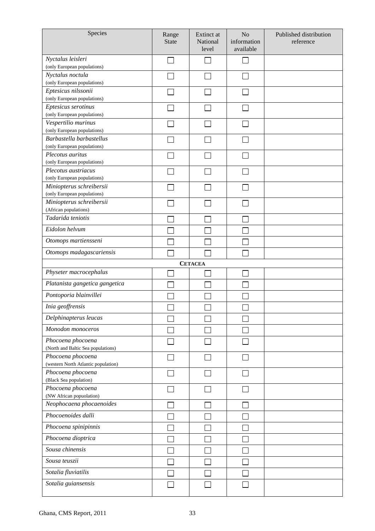| Species                                                  | Range<br><b>State</b> | Extinct at<br>National<br>level | N <sub>o</sub><br>information<br>available | Published distribution<br>reference |
|----------------------------------------------------------|-----------------------|---------------------------------|--------------------------------------------|-------------------------------------|
| Nyctalus leisleri<br>(only European populations)         |                       |                                 |                                            |                                     |
| Nyctalus noctula                                         |                       |                                 |                                            |                                     |
| (only European populations)                              |                       |                                 |                                            |                                     |
| Eptesicus nilssonii                                      |                       |                                 |                                            |                                     |
| (only European populations)                              |                       |                                 |                                            |                                     |
| Eptesicus serotinus<br>(only European populations)       |                       |                                 |                                            |                                     |
| Vespertilio murinus                                      |                       |                                 |                                            |                                     |
| (only European populations)                              |                       |                                 |                                            |                                     |
| Barbastella barbastellus                                 |                       |                                 |                                            |                                     |
| (only European populations)                              |                       |                                 |                                            |                                     |
| Plecotus auritus                                         |                       |                                 |                                            |                                     |
| (only European populations)                              |                       |                                 |                                            |                                     |
| Plecotus austriacus                                      |                       |                                 |                                            |                                     |
| (only European populations)<br>Miniopterus schreibersii  |                       |                                 |                                            |                                     |
| (only European populations)                              |                       |                                 |                                            |                                     |
| Miniopterus schreibersii                                 |                       |                                 |                                            |                                     |
| (African populations)                                    |                       |                                 |                                            |                                     |
| Tadarida teniotis                                        |                       |                                 |                                            |                                     |
| Eidolon helvum                                           |                       |                                 |                                            |                                     |
| Otomops martiensseni                                     |                       |                                 |                                            |                                     |
| Otomops madagascariensis                                 |                       |                                 |                                            |                                     |
|                                                          |                       | <b>CETACEA</b>                  |                                            |                                     |
| Physeter macrocephalus                                   |                       |                                 |                                            |                                     |
| Platanista gangetica gangetica                           |                       |                                 |                                            |                                     |
| Pontoporia blainvillei                                   |                       |                                 |                                            |                                     |
| Inia geoffrensis                                         |                       |                                 |                                            |                                     |
| Delphinapterus leucas                                    |                       |                                 |                                            |                                     |
| Monodon monoceros                                        |                       |                                 |                                            |                                     |
| Phocoena phocoena<br>(North and Baltic Sea populations)  |                       |                                 |                                            |                                     |
| Phocoena phocoena<br>(western North Atlantic population) |                       |                                 |                                            |                                     |
| Phocoena phocoena                                        |                       |                                 |                                            |                                     |
| (Black Sea population)<br>Phocoena phocoena              |                       |                                 |                                            |                                     |
| (NW African popuolation)                                 |                       |                                 |                                            |                                     |
| Neophocaena phocaenoides                                 |                       |                                 |                                            |                                     |
| Phocoenoides dalli                                       |                       |                                 |                                            |                                     |
| Phocoena spinipinnis                                     |                       |                                 |                                            |                                     |
| Phocoena dioptrica                                       |                       |                                 |                                            |                                     |
| Sousa chinensis                                          |                       |                                 |                                            |                                     |
| Sousa teuszii                                            |                       |                                 |                                            |                                     |
| Sotalia fluviatilis                                      |                       |                                 |                                            |                                     |
| Sotalia guiansensis                                      |                       |                                 |                                            |                                     |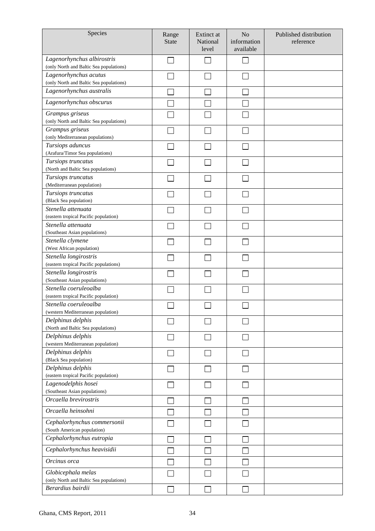| Species                                                               | Range<br><b>State</b> | Extinct at<br>National<br>level | N <sub>o</sub><br>information<br>available | Published distribution<br>reference |
|-----------------------------------------------------------------------|-----------------------|---------------------------------|--------------------------------------------|-------------------------------------|
| Lagenorhynchus albirostris<br>(only North and Baltic Sea populations) |                       |                                 |                                            |                                     |
| Lagenorhynchus acutus<br>(only North and Baltic Sea populations)      |                       |                                 |                                            |                                     |
| Lagenorhynchus australis                                              |                       |                                 |                                            |                                     |
| Lagenorhynchus obscurus                                               |                       |                                 |                                            |                                     |
| Grampus griseus<br>(only North and Baltic Sea populations)            |                       |                                 |                                            |                                     |
| Grampus griseus<br>(only Mediterranean populations)                   |                       |                                 |                                            |                                     |
| Tursiops aduncus<br>(Arafura/Timor Sea populations)                   |                       |                                 |                                            |                                     |
| Tursiops truncatus<br>(North and Baltic Sea populations)              |                       |                                 |                                            |                                     |
| Tursiops truncatus<br>(Mediterranean population)                      |                       |                                 |                                            |                                     |
| Tursiops truncatus<br>(Black Sea population)                          |                       |                                 |                                            |                                     |
| Stenella attenuata<br>(eastern tropical Pacific population)           |                       |                                 |                                            |                                     |
| Stenella attenuata<br>(Southeast Asian populations)                   |                       |                                 |                                            |                                     |
| Stenella clymene<br>(West African population)                         |                       |                                 |                                            |                                     |
| Stenella longirostris<br>(eastern tropical Pacific populations)       |                       |                                 |                                            |                                     |
| Stenella longirostris<br>(Southeast Asian populations)                |                       |                                 |                                            |                                     |
| Stenella coeruleoalba<br>(eastern tropical Pacific population)        |                       |                                 |                                            |                                     |
| Stenella coeruleoalba<br>(western Mediterranean population)           |                       |                                 |                                            |                                     |
| Delphinus delphis<br>(North and Baltic Sea populations)               |                       |                                 |                                            |                                     |
| Delphinus delphis<br>(western Mediterranean population)               |                       |                                 |                                            |                                     |
| Delphinus delphis<br>(Black Sea population)                           |                       |                                 |                                            |                                     |
| Delphinus delphis<br>(eastern tropical Pacific population)            |                       |                                 |                                            |                                     |
| Lagenodelphis hosei<br>(Southeast Asian populations)                  |                       |                                 |                                            |                                     |
| Orcaella brevirostris                                                 |                       |                                 |                                            |                                     |
| Orcaella heinsohni                                                    |                       |                                 |                                            |                                     |
| Cephalorhynchus commersonii<br>(South American population)            |                       |                                 |                                            |                                     |
| Cephalorhynchus eutropia                                              |                       |                                 |                                            |                                     |
| Cephalorhynchus heavisidii                                            |                       |                                 |                                            |                                     |
| Orcinus orca                                                          |                       |                                 |                                            |                                     |
| Globicephala melas<br>(only North and Baltic Sea populations)         |                       |                                 |                                            |                                     |
| Berardius bairdii                                                     |                       |                                 |                                            |                                     |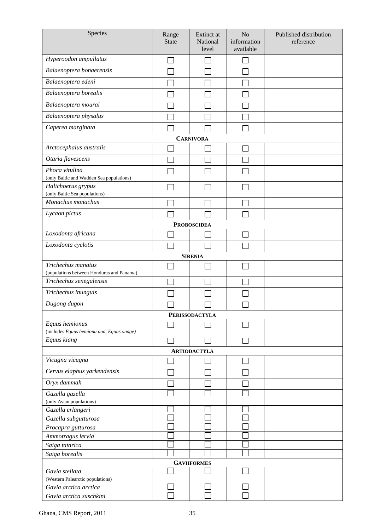| Species                                                              | Range<br><b>State</b> | Extinct at<br>National<br>level | N <sub>o</sub><br>information<br>available | Published distribution<br>reference |
|----------------------------------------------------------------------|-----------------------|---------------------------------|--------------------------------------------|-------------------------------------|
| Hyperoodon ampullatus                                                |                       |                                 |                                            |                                     |
| Balaenoptera bonaerensis                                             |                       |                                 |                                            |                                     |
| Balaenoptera edeni                                                   |                       |                                 |                                            |                                     |
| Balaenoptera borealis                                                |                       |                                 |                                            |                                     |
| Balaenoptera mourai                                                  |                       |                                 |                                            |                                     |
|                                                                      |                       |                                 |                                            |                                     |
| Balaenoptera physalus                                                |                       |                                 |                                            |                                     |
| Caperea marginata                                                    |                       |                                 |                                            |                                     |
|                                                                      |                       | <b>CARNIVORA</b>                |                                            |                                     |
| Arctocephalus australis                                              |                       |                                 |                                            |                                     |
| Otaria flavescens                                                    |                       |                                 |                                            |                                     |
| Phoca vitulina<br>(only Baltic and Wadden Sea populations)           |                       |                                 |                                            |                                     |
| Halichoerus grypus                                                   |                       |                                 |                                            |                                     |
| (only Baltic Sea populations)                                        |                       |                                 |                                            |                                     |
| Monachus monachus                                                    |                       |                                 |                                            |                                     |
| Lycaon pictus                                                        |                       |                                 |                                            |                                     |
|                                                                      |                       | <b>PROBOSCIDEA</b>              |                                            |                                     |
| Loxodonta africana                                                   |                       |                                 |                                            |                                     |
| Loxodonta cyclotis                                                   |                       |                                 |                                            |                                     |
|                                                                      |                       | <b>SIRENIA</b>                  |                                            |                                     |
| Trichechus manatus                                                   |                       |                                 |                                            |                                     |
| (populations between Honduras and Panama)<br>Trichechus senegalensis |                       |                                 |                                            |                                     |
|                                                                      |                       |                                 |                                            |                                     |
| Trichechus inunguis                                                  |                       |                                 |                                            |                                     |
| Dugong dugon                                                         |                       |                                 |                                            |                                     |
|                                                                      |                       | <b>PERISSODACTYLA</b>           |                                            |                                     |
| Equus hemionus<br>(includes Equus hemionu and, Equus onage)          |                       |                                 |                                            |                                     |
| Equus kiang                                                          |                       |                                 |                                            |                                     |
|                                                                      |                       | <b>ARTIODACTYLA</b>             |                                            |                                     |
| Vicugna vicugna                                                      |                       |                                 |                                            |                                     |
| Cervus elaphus yarkendensis                                          |                       |                                 |                                            |                                     |
| Oryx dammah                                                          |                       |                                 |                                            |                                     |
|                                                                      |                       |                                 |                                            |                                     |
| Gazella gazella<br>(only Asian populations)                          |                       |                                 |                                            |                                     |
| Gazella erlangeri                                                    |                       |                                 |                                            |                                     |
| Gazella subgutturosa                                                 |                       |                                 |                                            |                                     |
| Procapra gutturosa                                                   |                       |                                 |                                            |                                     |
| Ammotragus lervia                                                    |                       |                                 |                                            |                                     |
| Saiga tatarica                                                       |                       |                                 |                                            |                                     |
| Saiga borealis                                                       |                       |                                 |                                            |                                     |
|                                                                      |                       | <b>GAVIIFORMES</b>              |                                            |                                     |
| Gavia stellata<br>(Western Palearctic populations)                   |                       |                                 |                                            |                                     |
| Gavia arctica arctica                                                |                       |                                 |                                            |                                     |
| Gavia arctica suschkini                                              |                       |                                 |                                            |                                     |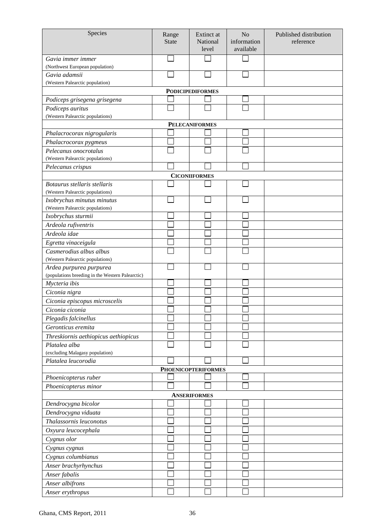| Species                                                        | Range<br><b>State</b> | <b>Extinct</b> at<br>National | N <sub>o</sub><br>information | Published distribution<br>reference |
|----------------------------------------------------------------|-----------------------|-------------------------------|-------------------------------|-------------------------------------|
|                                                                |                       | level                         | available                     |                                     |
| Gavia immer immer                                              |                       |                               |                               |                                     |
| (Northwest European population)                                |                       |                               |                               |                                     |
| Gavia adamsii<br>(Western Palearctic population)               |                       |                               |                               |                                     |
|                                                                |                       | <b>PODICIPEDIFORMES</b>       |                               |                                     |
| Podiceps grisegena grisegena                                   |                       |                               |                               |                                     |
| Podiceps auritus                                               |                       |                               |                               |                                     |
| (Western Palearctic populations)                               |                       |                               |                               |                                     |
|                                                                |                       | <b>PELECANIFORMES</b>         |                               |                                     |
| Phalacrocorax nigrogularis                                     |                       |                               |                               |                                     |
| Phalacrocorax pygmeus                                          |                       |                               |                               |                                     |
| Pelecanus onocrotalus                                          |                       |                               |                               |                                     |
| (Western Palearctic populations)                               |                       |                               |                               |                                     |
| Pelecanus crispus                                              |                       |                               |                               |                                     |
|                                                                |                       | <b>CICONIIFORMES</b>          |                               |                                     |
| Botaurus stellaris stellaris                                   |                       |                               |                               |                                     |
| (Western Palearctic populations)                               |                       |                               |                               |                                     |
| Ixobrychus minutus minutus<br>(Western Palearctic populations) |                       |                               |                               |                                     |
| Ixobrychus sturmii                                             |                       |                               |                               |                                     |
| Ardeola rufiventris                                            |                       |                               |                               |                                     |
| Ardeola idae                                                   |                       |                               |                               |                                     |
| Egretta vinaceigula                                            |                       |                               |                               |                                     |
| Casmerodius albus albus                                        |                       |                               |                               |                                     |
| (Western Palearctic populations)                               |                       |                               |                               |                                     |
| Ardea purpurea purpurea                                        |                       |                               |                               |                                     |
| (populations breeding in the Western Palearctic)               |                       |                               |                               |                                     |
| Mycteria ibis                                                  |                       |                               |                               |                                     |
| Ciconia nigra                                                  |                       |                               |                               |                                     |
| Ciconia episcopus microscelis                                  |                       |                               |                               |                                     |
| Ciconia ciconia                                                |                       |                               |                               |                                     |
| Plegadis falcinellus                                           |                       |                               |                               |                                     |
| Geronticus eremita                                             |                       |                               |                               |                                     |
| Threskiornis aethiopicus aethiopicus                           |                       |                               |                               |                                     |
| Platalea alba                                                  |                       |                               |                               |                                     |
| (excluding Malagasy population)                                |                       |                               |                               |                                     |
| Platalea leucorodia                                            |                       |                               |                               |                                     |
|                                                                |                       | <b>PHOENICOPTERIFORMES</b>    |                               |                                     |
| Phoenicopterus ruber                                           |                       |                               |                               |                                     |
| Phoenicopterus minor                                           |                       |                               |                               |                                     |
|                                                                |                       | <b>ANSERIFORMES</b>           |                               |                                     |
| Dendrocygna bicolor<br>Dendrocygna viduata                     |                       |                               |                               |                                     |
| Thalassornis leuconotus                                        |                       |                               |                               |                                     |
|                                                                |                       |                               |                               |                                     |
| Oxyura leucocephala                                            |                       |                               |                               |                                     |
| Cygnus olor                                                    |                       |                               |                               |                                     |
| Cygnus cygnus                                                  |                       |                               |                               |                                     |
| Cygnus columbianus                                             |                       |                               |                               |                                     |
| Anser brachyrhynchus                                           |                       |                               |                               |                                     |
| Anser fabalis<br>Anser albifrons                               |                       |                               |                               |                                     |
| Anser erythropus                                               |                       |                               |                               |                                     |
|                                                                |                       |                               |                               |                                     |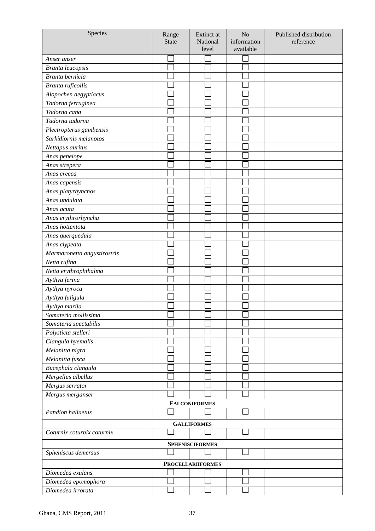| Species                     | Range<br><b>State</b> | Extinct at<br>National<br>level | N <sub>o</sub><br>information<br>available | Published distribution<br>reference |
|-----------------------------|-----------------------|---------------------------------|--------------------------------------------|-------------------------------------|
| Anser anser                 |                       |                                 |                                            |                                     |
| Branta leucopsis            |                       |                                 |                                            |                                     |
| Branta bernicla             |                       |                                 |                                            |                                     |
| Branta ruficollis           |                       |                                 |                                            |                                     |
| Alopochen aegyptiacus       |                       |                                 |                                            |                                     |
| Tadorna ferruginea          |                       |                                 |                                            |                                     |
| Tadorna cana                |                       |                                 |                                            |                                     |
| Tadorna tadorna             |                       |                                 |                                            |                                     |
| Plectropterus gambensis     |                       |                                 |                                            |                                     |
| Sarkidiornis melanotos      |                       |                                 |                                            |                                     |
| Nettapus auritus            |                       |                                 |                                            |                                     |
| Anas penelope               |                       |                                 |                                            |                                     |
| Anas strepera               |                       |                                 |                                            |                                     |
| Anas crecca                 |                       |                                 |                                            |                                     |
| Anas capensis               |                       |                                 |                                            |                                     |
| Anas platyrhynchos          |                       |                                 |                                            |                                     |
| Anas undulata               |                       |                                 |                                            |                                     |
| Anas acuta                  |                       |                                 |                                            |                                     |
| Anas erythrorhyncha         |                       |                                 |                                            |                                     |
| Anas hottentota             |                       |                                 |                                            |                                     |
| Anas querquedula            |                       |                                 |                                            |                                     |
| Anas clypeata               |                       |                                 |                                            |                                     |
| Marmaronetta angustirostris |                       |                                 |                                            |                                     |
| Netta rufina                |                       |                                 |                                            |                                     |
| Netta erythrophthalma       |                       |                                 |                                            |                                     |
| Aythya ferina               |                       |                                 |                                            |                                     |
| Aythya nyroca               |                       |                                 |                                            |                                     |
| Aythya fuligula             |                       |                                 |                                            |                                     |
| Aythya marila               |                       |                                 |                                            |                                     |
| Somateria mollissima        |                       |                                 |                                            |                                     |
| Somateria spectabilis       |                       |                                 |                                            |                                     |
| Polysticta stelleri         |                       |                                 |                                            |                                     |
| Clangula hyemalis           |                       |                                 |                                            |                                     |
| Melanitta nigra             |                       |                                 |                                            |                                     |
| Melanitta fusca             |                       |                                 |                                            |                                     |
| Bucephala clangula          |                       |                                 |                                            |                                     |
| Mergellus albellus          |                       |                                 |                                            |                                     |
| Mergus serrator             |                       |                                 |                                            |                                     |
| Mergus merganser            |                       |                                 |                                            |                                     |
|                             |                       | <b>FALCONIFORMES</b>            |                                            |                                     |
| Pandion haliaetus           |                       |                                 |                                            |                                     |
|                             |                       | <b>GALLIFORMES</b>              |                                            |                                     |
| Coturnix coturnix coturnix  |                       |                                 |                                            |                                     |
|                             |                       | <b>SPHENISCIFORMES</b>          |                                            |                                     |
| Spheniscus demersus         |                       |                                 |                                            |                                     |
|                             |                       | <b>PROCELLARIIFORMES</b>        |                                            |                                     |
| Diomedea exulans            |                       |                                 |                                            |                                     |
| Diomedea epomophora         |                       |                                 |                                            |                                     |
| Diomedea irrorata           |                       |                                 |                                            |                                     |
|                             |                       |                                 |                                            |                                     |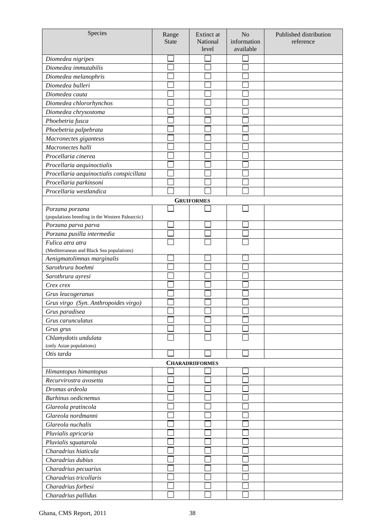| Species                                          | Range<br><b>State</b> | Extinct at<br>National<br>level | N <sub>o</sub><br>information<br>available | Published distribution<br>reference |
|--------------------------------------------------|-----------------------|---------------------------------|--------------------------------------------|-------------------------------------|
|                                                  |                       |                                 |                                            |                                     |
| Diomedea nigripes                                |                       |                                 |                                            |                                     |
| Diomedea immutabilis                             |                       |                                 |                                            |                                     |
| Diomedea melanophris                             |                       |                                 |                                            |                                     |
| Diomedea bulleri                                 |                       |                                 |                                            |                                     |
| Diomedea cauta                                   |                       |                                 |                                            |                                     |
| Diomedea chlororhynchos                          |                       |                                 |                                            |                                     |
| Diomedea chrysostoma                             |                       |                                 |                                            |                                     |
| Phoebetria fusca                                 |                       |                                 |                                            |                                     |
| Phoebetria palpebrata                            |                       |                                 |                                            |                                     |
| Macronectes giganteus                            |                       |                                 |                                            |                                     |
| Macronectes halli                                |                       |                                 |                                            |                                     |
| Procellaria cinerea                              |                       |                                 |                                            |                                     |
| Procellaria aequinoctialis                       |                       |                                 |                                            |                                     |
| Procellaria aequinoctialis conspicillata         |                       |                                 |                                            |                                     |
| Procellaria parkinsoni                           |                       |                                 |                                            |                                     |
| Procellaria westlandica                          |                       |                                 |                                            |                                     |
|                                                  |                       | <b>GRUIFORMES</b>               |                                            |                                     |
| Porzana porzana                                  |                       |                                 |                                            |                                     |
| (populations breeding in the Western Palearctic) |                       |                                 |                                            |                                     |
| Porzana parva parva                              |                       |                                 |                                            |                                     |
| Porzana pusilla intermedia                       |                       |                                 |                                            |                                     |
| Fulica atra atra                                 |                       |                                 |                                            |                                     |
| (Mediterranean and Black Sea populations)        |                       |                                 |                                            |                                     |
| Aenigmatolimnas marginalis                       |                       |                                 |                                            |                                     |
| Sarothrura boehmi                                |                       |                                 |                                            |                                     |
| Sarothrura ayresi                                |                       |                                 |                                            |                                     |
| Crex crex                                        |                       |                                 |                                            |                                     |
| Grus leucogeranus                                |                       |                                 |                                            |                                     |
| Grus virgo (Syn. Anthropoides virgo)             |                       |                                 |                                            |                                     |
| Grus paradisea                                   |                       |                                 |                                            |                                     |
| Grus carunculatus                                |                       |                                 |                                            |                                     |
| Grus grus                                        |                       |                                 |                                            |                                     |
| Chlamydotis undulata                             |                       |                                 |                                            |                                     |
| (only Asian populations)                         |                       |                                 |                                            |                                     |
| Otis tarda                                       |                       |                                 |                                            |                                     |
|                                                  |                       | <b>CHARADRIIFORMES</b>          |                                            |                                     |
| Himantopus himantopus                            |                       |                                 |                                            |                                     |
| Recurvirostra avosetta                           |                       |                                 |                                            |                                     |
| Dromas ardeola                                   |                       |                                 |                                            |                                     |
| <b>Burhinus</b> oedicnemus                       |                       |                                 |                                            |                                     |
| Glareola pratincola                              |                       |                                 |                                            |                                     |
| Glareola nordmanni                               |                       |                                 |                                            |                                     |
| Glareola nuchalis                                |                       |                                 |                                            |                                     |
| Pluvialis apricaria                              |                       |                                 |                                            |                                     |
| Pluvialis squatarola                             |                       |                                 |                                            |                                     |
| Charadrius hiaticula                             |                       |                                 |                                            |                                     |
| Charadrius dubius                                |                       |                                 |                                            |                                     |
|                                                  |                       |                                 |                                            |                                     |
| Charadrius pecuarius                             |                       |                                 |                                            |                                     |
| Charadrius tricollaris                           |                       |                                 |                                            |                                     |
| Charadrius forbesi                               |                       |                                 |                                            |                                     |
| Charadrius pallidus                              |                       |                                 |                                            |                                     |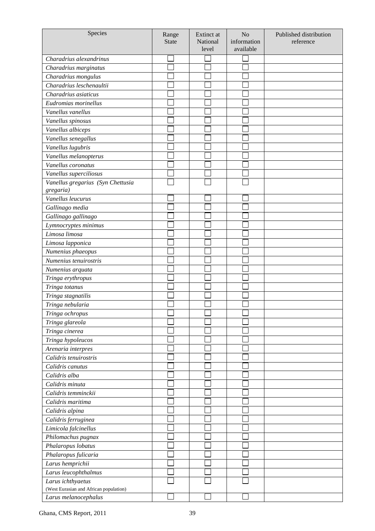| Species                                | Range<br><b>State</b> | Extinct at<br>National<br>level | N <sub>o</sub><br>information<br>available | Published distribution<br>reference |
|----------------------------------------|-----------------------|---------------------------------|--------------------------------------------|-------------------------------------|
| Charadrius alexandrinus                |                       |                                 |                                            |                                     |
| Charadrius marginatus                  |                       |                                 |                                            |                                     |
| Charadrius mongulus                    |                       |                                 |                                            |                                     |
| Charadrius leschenaultii               |                       |                                 |                                            |                                     |
| Charadrius asiaticus                   |                       |                                 |                                            |                                     |
| Eudromias morinellus                   |                       |                                 |                                            |                                     |
| Vanellus vanellus                      |                       |                                 |                                            |                                     |
| Vanellus spinosus                      |                       |                                 |                                            |                                     |
| Vanellus albiceps                      |                       |                                 |                                            |                                     |
| Vanellus senegallus                    |                       |                                 |                                            |                                     |
| Vanellus lugubris                      |                       |                                 |                                            |                                     |
| Vanellus melanopterus                  |                       |                                 |                                            |                                     |
| Vanellus coronatus                     |                       |                                 |                                            |                                     |
| Vanellus superciliosus                 |                       |                                 |                                            |                                     |
| Vanellus gregarius (Syn Chettusia      |                       |                                 |                                            |                                     |
| gregaria)                              |                       |                                 |                                            |                                     |
| Vanellus leucurus                      |                       |                                 |                                            |                                     |
| Gallinago media                        |                       |                                 |                                            |                                     |
| Gallinago gallinago                    |                       |                                 |                                            |                                     |
| Lymnocryptes minimus                   |                       |                                 |                                            |                                     |
| Limosa limosa                          |                       |                                 |                                            |                                     |
| Limosa lapponica                       |                       |                                 |                                            |                                     |
| Numenius phaeopus                      |                       |                                 |                                            |                                     |
| Numenius tenuirostris                  |                       |                                 |                                            |                                     |
| Numenius arquata                       |                       |                                 |                                            |                                     |
| Tringa erythropus                      |                       |                                 |                                            |                                     |
| Tringa totanus                         |                       |                                 |                                            |                                     |
| Tringa stagnatilis                     |                       |                                 |                                            |                                     |
| Tringa nebularia                       |                       |                                 |                                            |                                     |
| Tringa ochropus                        |                       |                                 |                                            |                                     |
| Tringa glareola                        |                       |                                 |                                            |                                     |
| Tringa cinerea                         |                       |                                 |                                            |                                     |
| Tringa hypoleucos                      |                       |                                 |                                            |                                     |
| Arenaria interpres                     |                       |                                 |                                            |                                     |
| Calidris tenuirostris                  |                       |                                 |                                            |                                     |
| Calidris canutus                       |                       |                                 |                                            |                                     |
| Calidris alba                          |                       |                                 |                                            |                                     |
| Calidris minuta                        |                       |                                 |                                            |                                     |
| Calidris temminckii                    |                       |                                 |                                            |                                     |
| Calidris maritima                      |                       |                                 |                                            |                                     |
| Calidris alpina                        |                       |                                 |                                            |                                     |
| Calidris ferruginea                    |                       |                                 |                                            |                                     |
| Limicola falcinellus                   |                       |                                 |                                            |                                     |
| Philomachus pugnax                     |                       |                                 |                                            |                                     |
| Phalaropus lobatus                     |                       |                                 |                                            |                                     |
| Phalaropus fulicaria                   |                       |                                 |                                            |                                     |
| Larus hemprichii                       |                       |                                 |                                            |                                     |
| Larus leucophthalmus                   |                       |                                 |                                            |                                     |
| Larus ichthyaetus                      |                       |                                 |                                            |                                     |
| (West Eurasian and African population) |                       |                                 |                                            |                                     |
| Larus melanocephalus                   |                       |                                 |                                            |                                     |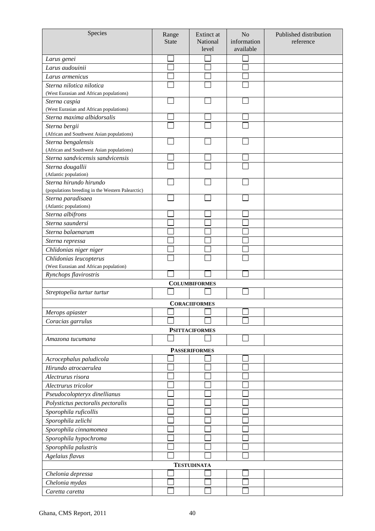| Species                                                         | Range        | Extinct at            | N <sub>o</sub> | Published distribution |
|-----------------------------------------------------------------|--------------|-----------------------|----------------|------------------------|
|                                                                 | <b>State</b> | National              | information    | reference              |
|                                                                 |              | level                 | available      |                        |
| Larus genei                                                     |              |                       |                |                        |
| Larus audouinii                                                 |              |                       |                |                        |
| Larus armenicus                                                 |              |                       |                |                        |
| Sterna nilotica nilotica                                        |              |                       |                |                        |
| (West Eurasian and African populations)                         |              |                       |                |                        |
| Sterna caspia                                                   |              |                       |                |                        |
| (West Eurasian and African populations)                         |              |                       |                |                        |
| Sterna maxima albidorsalis                                      |              |                       |                |                        |
| Sterna bergii                                                   |              |                       |                |                        |
| (African and Southwest Asian populations)                       |              |                       |                |                        |
| Sterna bengalensis<br>(African and Southwest Asian populations) |              |                       |                |                        |
| Sterna sandvicensis sandvicensis                                |              |                       |                |                        |
| Sterna dougallii                                                |              |                       |                |                        |
| (Atlantic population)                                           |              |                       |                |                        |
| Sterna hirundo hirundo                                          |              |                       |                |                        |
| (populations breeding in the Western Palearctic)                |              |                       |                |                        |
| Sterna paradisaea                                               |              |                       |                |                        |
| (Atlantic populations)                                          |              |                       |                |                        |
| Sterna albifrons                                                |              |                       |                |                        |
| Sterna saundersi                                                |              |                       |                |                        |
| Sterna balaenarum                                               |              |                       |                |                        |
| Sterna repressa                                                 |              |                       |                |                        |
| Chlidonias niger niger                                          |              |                       |                |                        |
| Chlidonias leucopterus                                          |              |                       |                |                        |
| (West Eurasian and African population)                          |              |                       |                |                        |
| Rynchops flavirostris                                           |              |                       |                |                        |
|                                                                 |              | <b>COLUMBIFORMES</b>  |                |                        |
| Streptopelia turtur turtur                                      |              |                       |                |                        |
|                                                                 |              | <b>CORACIIFORMES</b>  |                |                        |
| Merops apiaster                                                 |              |                       |                |                        |
| Coracias garrulus                                               |              |                       |                |                        |
|                                                                 |              | <b>PSITTACIFORMES</b> |                |                        |
| Amazona tucumana                                                |              |                       |                |                        |
|                                                                 |              | <b>PASSERIFORMES</b>  |                |                        |
| Acrocephalus paludicola                                         |              |                       |                |                        |
| Hirundo atrocaerulea                                            |              |                       |                |                        |
| Alectrurus risora                                               |              |                       |                |                        |
| Alectrurus tricolor                                             |              |                       |                |                        |
|                                                                 |              |                       |                |                        |
| Pseudocolopteryx dinellianus                                    |              |                       |                |                        |
| Polystictus pectoralis pectoralis                               |              |                       |                |                        |
| Sporophila ruficollis                                           |              |                       |                |                        |
| Sporophila zelichi                                              |              |                       |                |                        |
| Sporophila cinnamomea                                           |              |                       |                |                        |
| Sporophila hypochroma                                           |              |                       |                |                        |
| Sporophila palustris                                            |              |                       |                |                        |
| Agelaius flavus                                                 |              |                       |                |                        |
|                                                                 |              | <b>TESTUDINATA</b>    |                |                        |
| Chelonia depressa                                               |              |                       |                |                        |
| Chelonia mydas                                                  |              |                       |                |                        |
| Caretta caretta                                                 |              |                       |                |                        |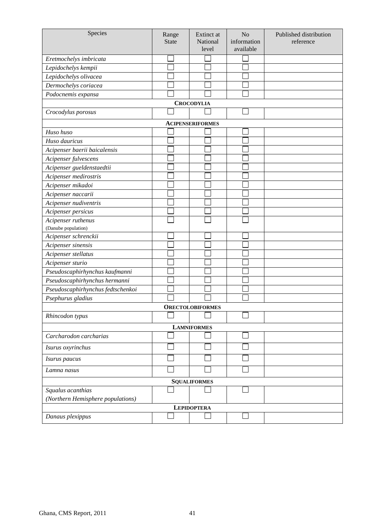| Species                           | Range<br><b>State</b> | Extinct at<br>National<br>level | N <sub>o</sub><br>information<br>available | Published distribution<br>reference |
|-----------------------------------|-----------------------|---------------------------------|--------------------------------------------|-------------------------------------|
|                                   |                       |                                 |                                            |                                     |
| Eretmochelys imbricata            |                       |                                 |                                            |                                     |
| Lepidochelys kempii               |                       |                                 |                                            |                                     |
| Lepidochelys olivacea             |                       |                                 |                                            |                                     |
| Dermochelys coriacea              |                       |                                 |                                            |                                     |
| Podocnemis expansa                |                       | <b>CROCODYLIA</b>               |                                            |                                     |
| Crocodylus porosus                |                       |                                 |                                            |                                     |
|                                   |                       | <b>ACIPENSERIFORMES</b>         |                                            |                                     |
| Huso huso                         |                       |                                 |                                            |                                     |
| Huso dauricus                     |                       |                                 |                                            |                                     |
| Acipenser baerii baicalensis      |                       |                                 |                                            |                                     |
| Acipenser fulvescens              |                       |                                 |                                            |                                     |
| Acipenser gueldenstaedtii         |                       |                                 |                                            |                                     |
| Acipenser medirostris             |                       |                                 |                                            |                                     |
| Acipenser mikadoi                 |                       |                                 |                                            |                                     |
| Acipenser naccarii                |                       |                                 |                                            |                                     |
| Acipenser nudiventris             |                       |                                 |                                            |                                     |
| Acipenser persicus                |                       |                                 |                                            |                                     |
| Acipenser ruthenus                |                       |                                 |                                            |                                     |
| (Danube population)               |                       |                                 |                                            |                                     |
| Acipenser schrenckii              |                       |                                 |                                            |                                     |
| Acipenser sinensis                |                       |                                 |                                            |                                     |
| Acipenser stellatus               |                       |                                 |                                            |                                     |
| Acipenser sturio                  |                       |                                 |                                            |                                     |
| Pseudoscaphirhynchus kaufmanni    |                       |                                 |                                            |                                     |
| Pseudoscaphirhynchus hermanni     |                       |                                 |                                            |                                     |
| Pseudoscaphirhynchus fedtschenkoi |                       |                                 |                                            |                                     |
| Psephurus gladius                 |                       |                                 |                                            |                                     |
|                                   |                       | <b>ORECTOLOBIFORMES</b>         |                                            |                                     |
| Rhincodon typus                   |                       |                                 |                                            |                                     |
|                                   |                       | <b>LAMNIFORMES</b>              |                                            |                                     |
| Carcharodon carcharias            |                       |                                 |                                            |                                     |
| Isurus oxyrinchus                 |                       |                                 |                                            |                                     |
| Isurus paucus                     |                       |                                 |                                            |                                     |
| Lamna nasus                       |                       |                                 |                                            |                                     |
|                                   |                       | <b>SQUALIFORMES</b>             |                                            |                                     |
| Squalus acanthias                 |                       |                                 |                                            |                                     |
| (Northern Hemisphere populations) |                       |                                 |                                            |                                     |
|                                   |                       | <b>LEPIDOPTERA</b>              |                                            |                                     |
| Danaus plexippus                  |                       |                                 |                                            |                                     |
|                                   |                       |                                 |                                            |                                     |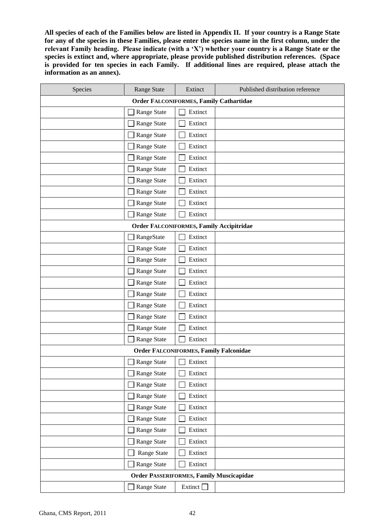**All species of each of the Families below are listed in Appendix II. If your country is a Range State for any of the species in these Families, please enter the species name in the first column, under the relevant Family heading. Please indicate (with a 'X') whether your country is a Range State or the species is extinct and, where appropriate, please provide published distribution references. (Space is provided for ten species in each Family. If additional lines are required, please attach the information as an annex).**

| Species                                        | <b>Range State</b>                              | Extinct        | Published distribution reference |  |  |  |  |
|------------------------------------------------|-------------------------------------------------|----------------|----------------------------------|--|--|--|--|
| <b>Order FALCONIFORMES, Family Cathartidae</b> |                                                 |                |                                  |  |  |  |  |
|                                                | Range State                                     | Extinct        |                                  |  |  |  |  |
|                                                | Range State                                     | Extinct        |                                  |  |  |  |  |
|                                                | Range State                                     | Extinct        |                                  |  |  |  |  |
|                                                | Range State                                     | Extinct        |                                  |  |  |  |  |
|                                                | Range State                                     | Extinct        |                                  |  |  |  |  |
|                                                | Range State                                     | Extinct        |                                  |  |  |  |  |
|                                                | Range State                                     | Extinct        |                                  |  |  |  |  |
|                                                | Range State                                     | Extinct        |                                  |  |  |  |  |
|                                                | Range State                                     | Extinct        |                                  |  |  |  |  |
|                                                | Range State                                     | Extinct        |                                  |  |  |  |  |
|                                                | <b>Order FALCONIFORMES, Family Accipitridae</b> |                |                                  |  |  |  |  |
|                                                | RangeState                                      | Extinct        |                                  |  |  |  |  |
|                                                | Range State                                     | Extinct        |                                  |  |  |  |  |
|                                                | Range State                                     | Extinct        |                                  |  |  |  |  |
|                                                | Range State                                     | Extinct        |                                  |  |  |  |  |
|                                                | Range State                                     | Extinct        |                                  |  |  |  |  |
|                                                | Range State                                     | Extinct        |                                  |  |  |  |  |
|                                                | Range State                                     | Extinct        |                                  |  |  |  |  |
|                                                | Range State                                     | Extinct        |                                  |  |  |  |  |
|                                                | Range State                                     | Extinct        |                                  |  |  |  |  |
|                                                | Range State                                     | Extinct        |                                  |  |  |  |  |
|                                                | <b>Order FALCONIFORMES, Family Falconidae</b>   |                |                                  |  |  |  |  |
|                                                | Range State                                     | Extinct        |                                  |  |  |  |  |
|                                                | Range State                                     | Extinct        |                                  |  |  |  |  |
|                                                | Range State                                     | Extinct        |                                  |  |  |  |  |
|                                                | Range State                                     | Extinct        |                                  |  |  |  |  |
|                                                | Range State                                     | Extinct        |                                  |  |  |  |  |
|                                                | Range State                                     | Extinct        |                                  |  |  |  |  |
|                                                | Range State                                     | Extinct        |                                  |  |  |  |  |
|                                                | Range State                                     | Extinct        |                                  |  |  |  |  |
|                                                | Range State                                     | Extinct        |                                  |  |  |  |  |
|                                                | Range State                                     | Extinct        |                                  |  |  |  |  |
|                                                | <b>Order PASSERIFORMES, Family Muscicapidae</b> |                |                                  |  |  |  |  |
|                                                | Range State                                     | Extinct $\Box$ |                                  |  |  |  |  |